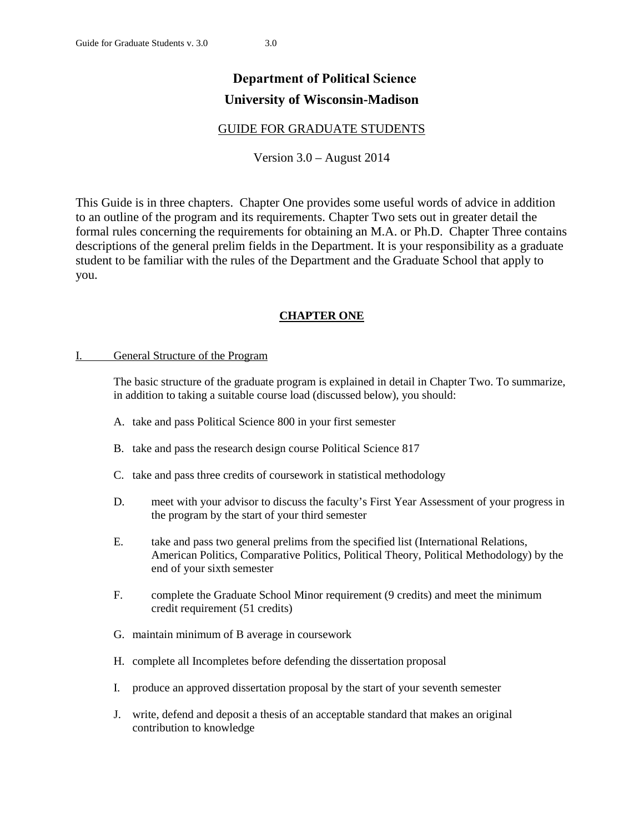## GUIDE FOR GRADUATE STUDENTS

Version 3.0 – August 2014

This Guide is in three chapters. Chapter One provides some useful words of advice in addition to an outline of the program and its requirements. Chapter Two sets out in greater detail the formal rules concerning the requirements for obtaining an M.A. or Ph.D. Chapter Three contains descriptions of the general prelim fields in the Department. It is your responsibility as a graduate student to be familiar with the rules of the Department and the Graduate School that apply to you.

# **CHAPTER ONE**

## I. General Structure of the Program

The basic structure of the graduate program is explained in detail in Chapter Two. To summarize, in addition to taking a suitable course load (discussed below), you should:

- A. take and pass Political Science 800 in your first semester
- B. take and pass the research design course Political Science 817
- C. take and pass three credits of coursework in statistical methodology
- D. meet with your advisor to discuss the faculty's First Year Assessment of your progress in the program by the start of your third semester
- E. take and pass two general prelims from the specified list (International Relations, American Politics, Comparative Politics, Political Theory, Political Methodology) by the end of your sixth semester
- F. complete the Graduate School Minor requirement (9 credits) and meet the minimum credit requirement (51 credits)
- G. maintain minimum of B average in coursework
- H. complete all Incompletes before defending the dissertation proposal
- I. produce an approved dissertation proposal by the start of your seventh semester
- J. write, defend and deposit a thesis of an acceptable standard that makes an original contribution to knowledge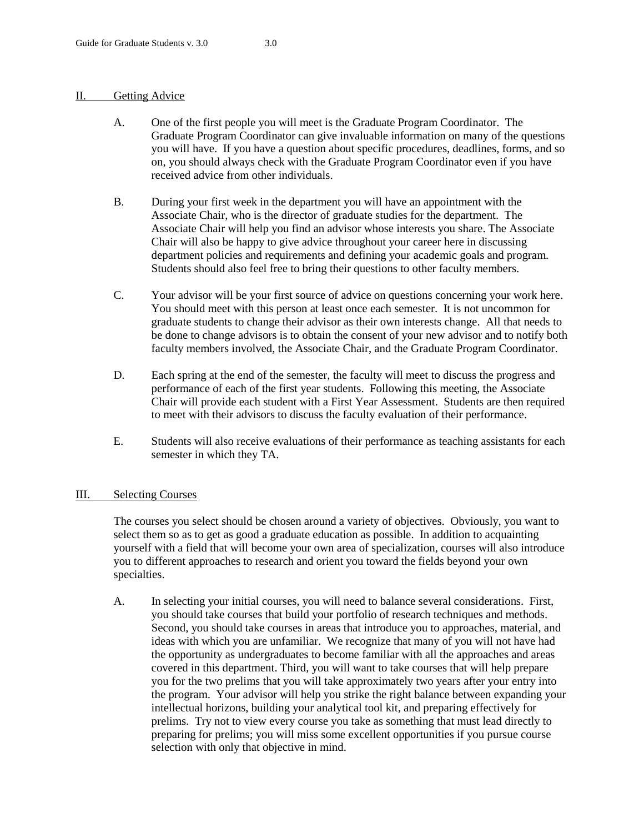### II. Getting Advice

- A. One of the first people you will meet is the Graduate Program Coordinator. The Graduate Program Coordinator can give invaluable information on many of the questions you will have. If you have a question about specific procedures, deadlines, forms, and so on, you should always check with the Graduate Program Coordinator even if you have received advice from other individuals.
- B. During your first week in the department you will have an appointment with the Associate Chair, who is the director of graduate studies for the department. The Associate Chair will help you find an advisor whose interests you share. The Associate Chair will also be happy to give advice throughout your career here in discussing department policies and requirements and defining your academic goals and program. Students should also feel free to bring their questions to other faculty members.
- C. Your advisor will be your first source of advice on questions concerning your work here. You should meet with this person at least once each semester. It is not uncommon for graduate students to change their advisor as their own interests change. All that needs to be done to change advisors is to obtain the consent of your new advisor and to notify both faculty members involved, the Associate Chair, and the Graduate Program Coordinator.
- D. Each spring at the end of the semester, the faculty will meet to discuss the progress and performance of each of the first year students. Following this meeting, the Associate Chair will provide each student with a First Year Assessment. Students are then required to meet with their advisors to discuss the faculty evaluation of their performance.
- E. Students will also receive evaluations of their performance as teaching assistants for each semester in which they TA.

## III. Selecting Courses

The courses you select should be chosen around a variety of objectives. Obviously, you want to select them so as to get as good a graduate education as possible. In addition to acquainting yourself with a field that will become your own area of specialization, courses will also introduce you to different approaches to research and orient you toward the fields beyond your own specialties.

A. In selecting your initial courses, you will need to balance several considerations. First, you should take courses that build your portfolio of research techniques and methods. Second, you should take courses in areas that introduce you to approaches, material, and ideas with which you are unfamiliar. We recognize that many of you will not have had the opportunity as undergraduates to become familiar with all the approaches and areas covered in this department. Third, you will want to take courses that will help prepare you for the two prelims that you will take approximately two years after your entry into the program. Your advisor will help you strike the right balance between expanding your intellectual horizons, building your analytical tool kit, and preparing effectively for prelims. Try not to view every course you take as something that must lead directly to preparing for prelims; you will miss some excellent opportunities if you pursue course selection with only that objective in mind.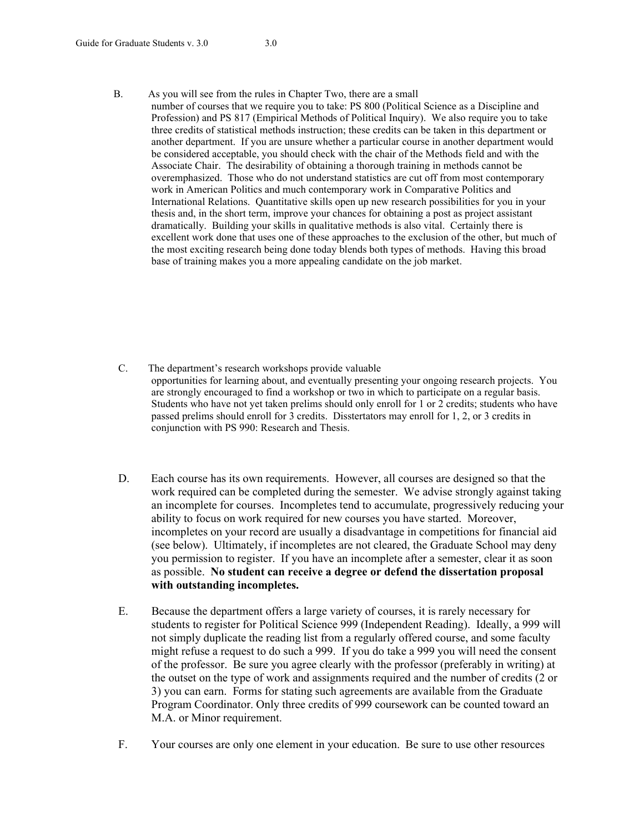B. As you will see from the rules in Chapter Two, there are a small

number of courses that we require you to take: PS 800 (Political Science as a Discipline and Profession) and PS 817 (Empirical Methods of Political Inquiry). We also require you to take three credits of statistical methods instruction; these credits can be taken in this department or another department. If you are unsure whether a particular course in another department would be considered acceptable, you should check with the chair of the Methods field and with the Associate Chair. The desirability of obtaining a thorough training in methods cannot be overemphasized. Those who do not understand statistics are cut off from most contemporary work in American Politics and much contemporary work in Comparative Politics and International Relations. Quantitative skills open up new research possibilities for you in your thesis and, in the short term, improve your chances for obtaining a post as project assistant dramatically. Building your skills in qualitative methods is also vital. Certainly there is excellent work done that uses one of these approaches to the exclusion of the other, but much of the most exciting research being done today blends both types of methods. Having this broad base of training makes you a more appealing candidate on the job market.

- C. The department's research workshops provide valuable opportunities for learning about, and eventually presenting your ongoing research projects. You are strongly encouraged to find a workshop or two in which to participate on a regular basis. Students who have not yet taken prelims should only enroll for 1 or 2 credits; students who have passed prelims should enroll for 3 credits. Disstertators may enroll for 1, 2, or 3 credits in conjunction with PS 990: Research and Thesis.
- D. Each course has its own requirements. However, all courses are designed so that the work required can be completed during the semester. We advise strongly against taking an incomplete for courses. Incompletes tend to accumulate, progressively reducing your ability to focus on work required for new courses you have started. Moreover, incompletes on your record are usually a disadvantage in competitions for financial aid (see below). Ultimately, if incompletes are not cleared, the Graduate School may deny you permission to register. If you have an incomplete after a semester, clear it as soon as possible. **No student can receive a degree or defend the dissertation proposal with outstanding incompletes.**
- E. Because the department offers a large variety of courses, it is rarely necessary for students to register for Political Science 999 (Independent Reading). Ideally, a 999 will not simply duplicate the reading list from a regularly offered course, and some faculty might refuse a request to do such a 999. If you do take a 999 you will need the consent of the professor. Be sure you agree clearly with the professor (preferably in writing) at the outset on the type of work and assignments required and the number of credits (2 or 3) you can earn. Forms for stating such agreements are available from the Graduate Program Coordinator. Only three credits of 999 coursework can be counted toward an M.A. or Minor requirement.
- F. Your courses are only one element in your education. Be sure to use other resources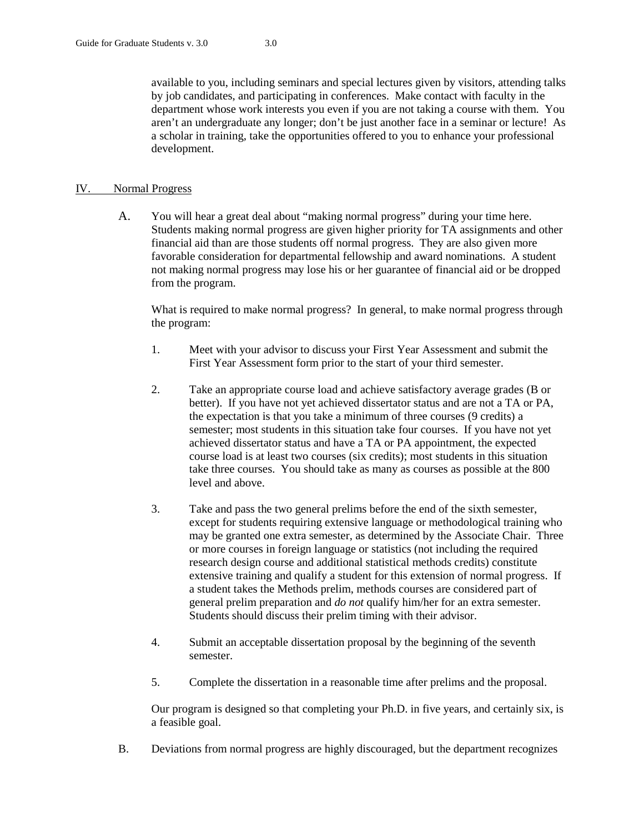available to you, including seminars and special lectures given by visitors, attending talks by job candidates, and participating in conferences. Make contact with faculty in the department whose work interests you even if you are not taking a course with them. You aren't an undergraduate any longer; don't be just another face in a seminar or lecture! As a scholar in training, take the opportunities offered to you to enhance your professional development.

### IV. Normal Progress

A. You will hear a great deal about "making normal progress" during your time here. Students making normal progress are given higher priority for TA assignments and other financial aid than are those students off normal progress. They are also given more favorable consideration for departmental fellowship and award nominations. A student not making normal progress may lose his or her guarantee of financial aid or be dropped from the program.

What is required to make normal progress? In general, to make normal progress through the program:

- 1. Meet with your advisor to discuss your First Year Assessment and submit the First Year Assessment form prior to the start of your third semester.
- 2. Take an appropriate course load and achieve satisfactory average grades (B or better). If you have not yet achieved dissertator status and are not a TA or PA, the expectation is that you take a minimum of three courses (9 credits) a semester; most students in this situation take four courses. If you have not yet achieved dissertator status and have a TA or PA appointment, the expected course load is at least two courses (six credits); most students in this situation take three courses. You should take as many as courses as possible at the 800 level and above.
- 3. Take and pass the two general prelims before the end of the sixth semester, except for students requiring extensive language or methodological training who may be granted one extra semester, as determined by the Associate Chair. Three or more courses in foreign language or statistics (not including the required research design course and additional statistical methods credits) constitute extensive training and qualify a student for this extension of normal progress. If a student takes the Methods prelim, methods courses are considered part of general prelim preparation and *do not* qualify him/her for an extra semester. Students should discuss their prelim timing with their advisor.
- 4. Submit an acceptable dissertation proposal by the beginning of the seventh semester.
- 5. Complete the dissertation in a reasonable time after prelims and the proposal.

Our program is designed so that completing your Ph.D. in five years, and certainly six, is a feasible goal.

B. Deviations from normal progress are highly discouraged, but the department recognizes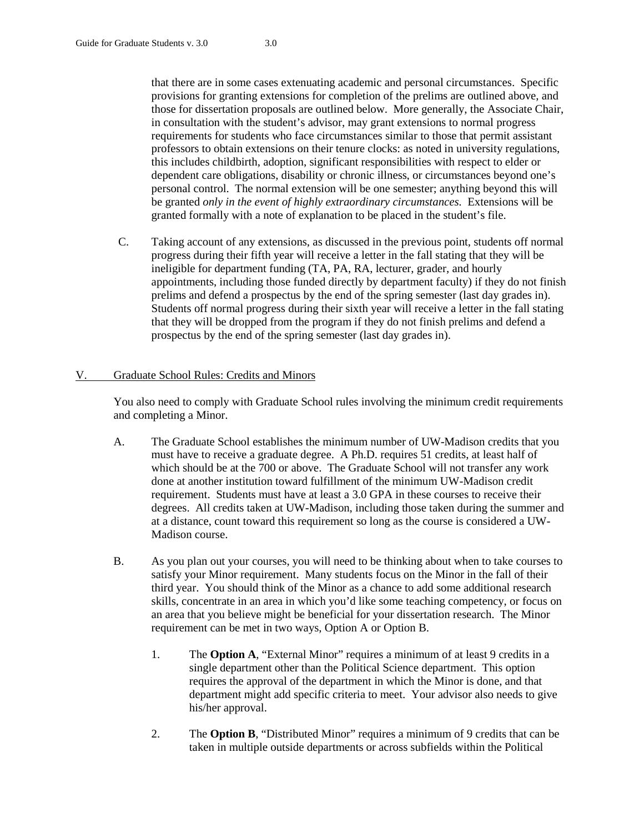that there are in some cases extenuating academic and personal circumstances. Specific provisions for granting extensions for completion of the prelims are outlined above, and those for dissertation proposals are outlined below. More generally, the Associate Chair, in consultation with the student's advisor, may grant extensions to normal progress requirements for students who face circumstances similar to those that permit assistant professors to obtain extensions on their tenure clocks: as noted in university regulations, this includes childbirth, adoption, significant responsibilities with respect to elder or dependent care obligations, disability or chronic illness, or circumstances beyond one's personal control. The normal extension will be one semester; anything beyond this will be granted *only in the event of highly extraordinary circumstances.* Extensions will be granted formally with a note of explanation to be placed in the student's file.

C. Taking account of any extensions, as discussed in the previous point, students off normal progress during their fifth year will receive a letter in the fall stating that they will be ineligible for department funding (TA, PA, RA, lecturer, grader, and hourly appointments, including those funded directly by department faculty) if they do not finish prelims and defend a prospectus by the end of the spring semester (last day grades in). Students off normal progress during their sixth year will receive a letter in the fall stating that they will be dropped from the program if they do not finish prelims and defend a prospectus by the end of the spring semester (last day grades in).

### V. Graduate School Rules: Credits and Minors

You also need to comply with Graduate School rules involving the minimum credit requirements and completing a Minor.

- A. The Graduate School establishes the minimum number of UW-Madison credits that you must have to receive a graduate degree. A Ph.D. requires 51 credits, at least half of which should be at the 700 or above. The Graduate School will not transfer any work done at another institution toward fulfillment of the minimum UW-Madison credit requirement. Students must have at least a 3.0 GPA in these courses to receive their degrees. All credits taken at UW-Madison, including those taken during the summer and at a distance, count toward this requirement so long as the course is considered a UW-Madison course.
- B. As you plan out your courses, you will need to be thinking about when to take courses to satisfy your Minor requirement. Many students focus on the Minor in the fall of their third year. You should think of the Minor as a chance to add some additional research skills, concentrate in an area in which you'd like some teaching competency, or focus on an area that you believe might be beneficial for your dissertation research. The Minor requirement can be met in two ways, Option A or Option B.
	- 1. The **Option A**, "External Minor" requires a minimum of at least 9 credits in a single department other than the Political Science department. This option requires the approval of the department in which the Minor is done, and that department might add specific criteria to meet. Your advisor also needs to give his/her approval.
	- 2. The **Option B**, "Distributed Minor" requires a minimum of 9 credits that can be taken in multiple outside departments or across subfields within the Political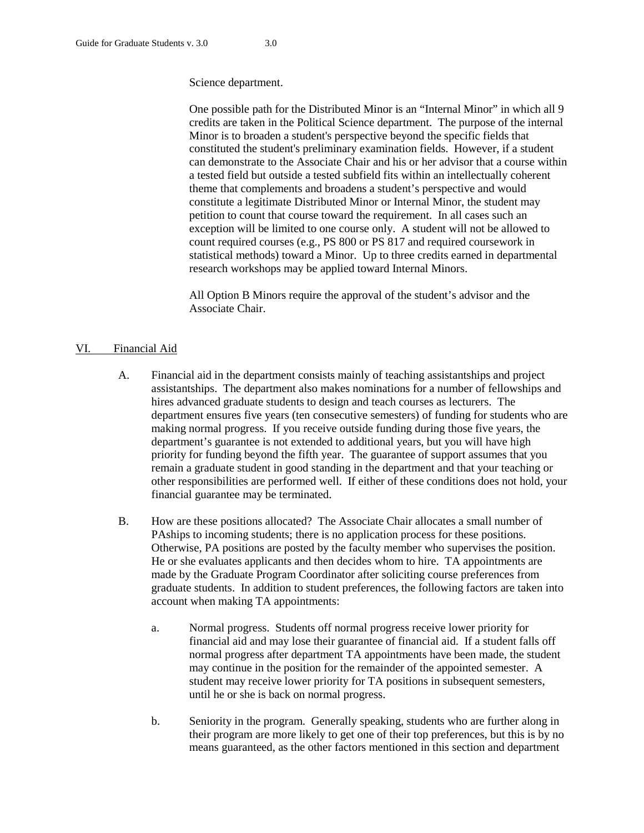Science department.

One possible path for the Distributed Minor is an "Internal Minor" in which all 9 credits are taken in the Political Science department. The purpose of the internal Minor is to broaden a student's perspective beyond the specific fields that constituted the student's preliminary examination fields. However, if a student can demonstrate to the Associate Chair and his or her advisor that a course within a tested field but outside a tested subfield fits within an intellectually coherent theme that complements and broadens a student's perspective and would constitute a legitimate Distributed Minor or Internal Minor, the student may petition to count that course toward the requirement. In all cases such an exception will be limited to one course only. A student will not be allowed to count required courses (e.g., PS 800 or PS 817 and required coursework in statistical methods) toward a Minor. Up to three credits earned in departmental research workshops may be applied toward Internal Minors.

All Option B Minors require the approval of the student's advisor and the Associate Chair.

## VI. Financial Aid

- A. Financial aid in the department consists mainly of teaching assistantships and project assistantships. The department also makes nominations for a number of fellowships and hires advanced graduate students to design and teach courses as lecturers. The department ensures five years (ten consecutive semesters) of funding for students who are making normal progress. If you receive outside funding during those five years, the department's guarantee is not extended to additional years, but you will have high priority for funding beyond the fifth year. The guarantee of support assumes that you remain a graduate student in good standing in the department and that your teaching or other responsibilities are performed well. If either of these conditions does not hold, your financial guarantee may be terminated.
- B. How are these positions allocated? The Associate Chair allocates a small number of PAships to incoming students; there is no application process for these positions. Otherwise, PA positions are posted by the faculty member who supervises the position. He or she evaluates applicants and then decides whom to hire. TA appointments are made by the Graduate Program Coordinator after soliciting course preferences from graduate students. In addition to student preferences, the following factors are taken into account when making TA appointments:
	- a. Normal progress. Students off normal progress receive lower priority for financial aid and may lose their guarantee of financial aid. If a student falls off normal progress after department TA appointments have been made, the student may continue in the position for the remainder of the appointed semester. A student may receive lower priority for TA positions in subsequent semesters, until he or she is back on normal progress.
	- b. Seniority in the program. Generally speaking, students who are further along in their program are more likely to get one of their top preferences, but this is by no means guaranteed, as the other factors mentioned in this section and department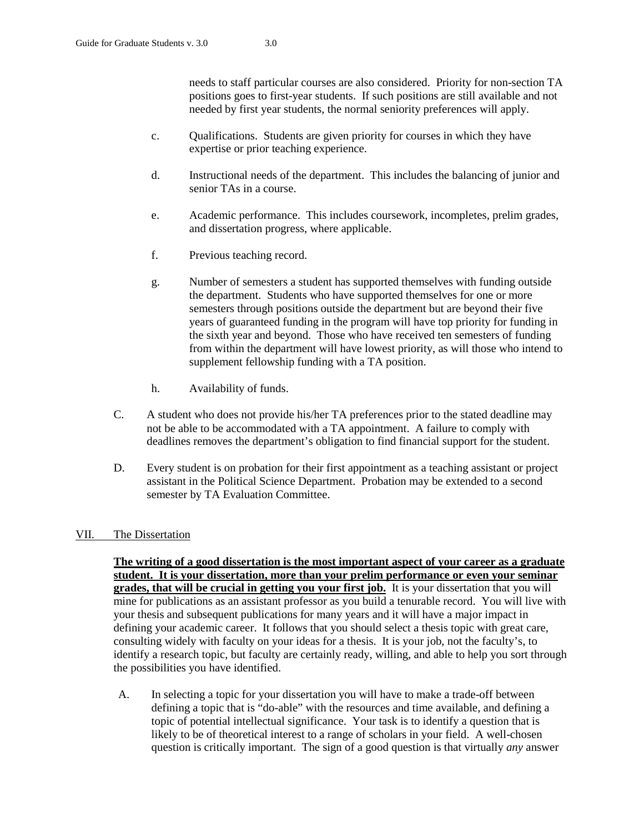needs to staff particular courses are also considered. Priority for non-section TA positions goes to first-year students. If such positions are still available and not needed by first year students, the normal seniority preferences will apply.

- c. Qualifications. Students are given priority for courses in which they have expertise or prior teaching experience.
- d. Instructional needs of the department. This includes the balancing of junior and senior TAs in a course.
- e. Academic performance. This includes coursework, incompletes, prelim grades, and dissertation progress, where applicable.
- f. Previous teaching record.
- g. Number of semesters a student has supported themselves with funding outside the department. Students who have supported themselves for one or more semesters through positions outside the department but are beyond their five years of guaranteed funding in the program will have top priority for funding in the sixth year and beyond. Those who have received ten semesters of funding from within the department will have lowest priority, as will those who intend to supplement fellowship funding with a TA position.
- h. Availability of funds.
- C. A student who does not provide his/her TA preferences prior to the stated deadline may not be able to be accommodated with a TA appointment. A failure to comply with deadlines removes the department's obligation to find financial support for the student.
- D. Every student is on probation for their first appointment as a teaching assistant or project assistant in the Political Science Department. Probation may be extended to a second semester by TA Evaluation Committee.

## VII. The Dissertation

**The writing of a good dissertation is the most important aspect of your career as a graduate student. It is your dissertation, more than your prelim performance or even your seminar grades, that will be crucial in getting you your first job.** It is your dissertation that you will mine for publications as an assistant professor as you build a tenurable record. You will live with your thesis and subsequent publications for many years and it will have a major impact in defining your academic career. It follows that you should select a thesis topic with great care, consulting widely with faculty on your ideas for a thesis. It is your job, not the faculty's, to identify a research topic, but faculty are certainly ready, willing, and able to help you sort through the possibilities you have identified.

A. In selecting a topic for your dissertation you will have to make a trade-off between defining a topic that is "do-able" with the resources and time available, and defining a topic of potential intellectual significance. Your task is to identify a question that is likely to be of theoretical interest to a range of scholars in your field. A well-chosen question is critically important. The sign of a good question is that virtually *any* answer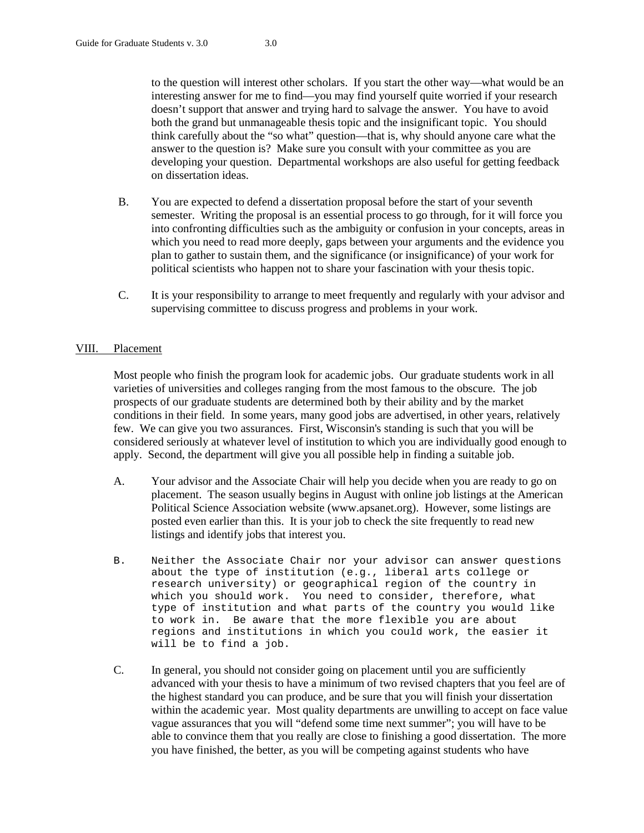to the question will interest other scholars. If you start the other way—what would be an interesting answer for me to find—you may find yourself quite worried if your research doesn't support that answer and trying hard to salvage the answer. You have to avoid both the grand but unmanageable thesis topic and the insignificant topic. You should think carefully about the "so what" question—that is, why should anyone care what the answer to the question is? Make sure you consult with your committee as you are developing your question. Departmental workshops are also useful for getting feedback on dissertation ideas.

- B. You are expected to defend a dissertation proposal before the start of your seventh semester. Writing the proposal is an essential process to go through, for it will force you into confronting difficulties such as the ambiguity or confusion in your concepts, areas in which you need to read more deeply, gaps between your arguments and the evidence you plan to gather to sustain them, and the significance (or insignificance) of your work for political scientists who happen not to share your fascination with your thesis topic.
- C. It is your responsibility to arrange to meet frequently and regularly with your advisor and supervising committee to discuss progress and problems in your work.

### VIII. Placement

Most people who finish the program look for academic jobs. Our graduate students work in all varieties of universities and colleges ranging from the most famous to the obscure. The job prospects of our graduate students are determined both by their ability and by the market conditions in their field. In some years, many good jobs are advertised, in other years, relatively few. We can give you two assurances. First, Wisconsin's standing is such that you will be considered seriously at whatever level of institution to which you are individually good enough to apply. Second, the department will give you all possible help in finding a suitable job.

- A. Your advisor and the Associate Chair will help you decide when you are ready to go on placement. The season usually begins in August with online job listings at the American Political Science Association website (www.apsanet.org). However, some listings are posted even earlier than this. It is your job to check the site frequently to read new listings and identify jobs that interest you.
- B. Neither the Associate Chair nor your advisor can answer questions about the type of institution (e.g., liberal arts college or research university) or geographical region of the country in which you should work. You need to consider, therefore, what type of institution and what parts of the country you would like to work in. Be aware that the more flexible you are about regions and institutions in which you could work, the easier it will be to find a job.
- C. In general, you should not consider going on placement until you are sufficiently advanced with your thesis to have a minimum of two revised chapters that you feel are of the highest standard you can produce, and be sure that you will finish your dissertation within the academic year. Most quality departments are unwilling to accept on face value vague assurances that you will "defend some time next summer"; you will have to be able to convince them that you really are close to finishing a good dissertation. The more you have finished, the better, as you will be competing against students who have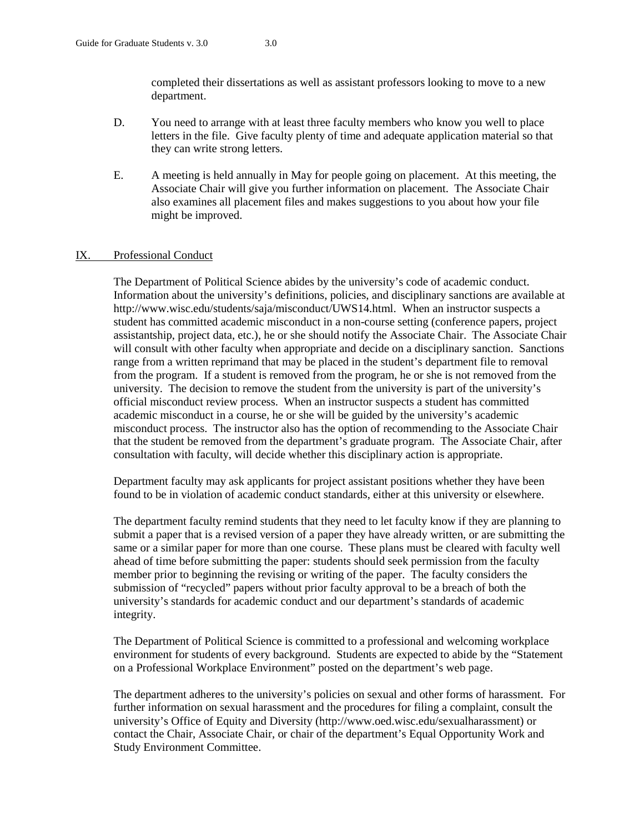completed their dissertations as well as assistant professors looking to move to a new department.

- D. You need to arrange with at least three faculty members who know you well to place letters in the file. Give faculty plenty of time and adequate application material so that they can write strong letters.
- E. A meeting is held annually in May for people going on placement. At this meeting, the Associate Chair will give you further information on placement. The Associate Chair also examines all placement files and makes suggestions to you about how your file might be improved.

## IX. Professional Conduct

The Department of Political Science abides by the university's code of academic conduct. Information about the university's definitions, policies, and disciplinary sanctions are available at [http://www.wisc.edu/students/saja/misconduct/UWS14.html.](http://www.wisc.edu/students/saja/misconduct/UWS14.html) When an instructor suspects a student has committed academic misconduct in a non-course setting (conference papers, project assistantship, project data, etc.), he or she should notify the Associate Chair. The Associate Chair will consult with other faculty when appropriate and decide on a disciplinary sanction. Sanctions range from a written reprimand that may be placed in the student's department file to removal from the program. If a student is removed from the program, he or she is not removed from the university. The decision to remove the student from the university is part of the university's official misconduct review process. When an instructor suspects a student has committed academic misconduct in a course, he or she will be guided by the university's academic misconduct process. The instructor also has the option of recommending to the Associate Chair that the student be removed from the department's graduate program. The Associate Chair, after consultation with faculty, will decide whether this disciplinary action is appropriate.

Department faculty may ask applicants for project assistant positions whether they have been found to be in violation of academic conduct standards, either at this university or elsewhere.

The department faculty remind students that they need to let faculty know if they are planning to submit a paper that is a revised version of a paper they have already written, or are submitting the same or a similar paper for more than one course. These plans must be cleared with faculty well ahead of time before submitting the paper: students should seek permission from the faculty member prior to beginning the revising or writing of the paper. The faculty considers the submission of "recycled" papers without prior faculty approval to be a breach of both the university's standards for academic conduct and our department's standards of academic integrity.

The Department of Political Science is committed to a professional and welcoming workplace environment for students of every background. Students are expected to abide by the "Statement on a Professional Workplace Environment" posted on the department's web page.

The department adheres to the university's policies on sexual and other forms of harassment. For further information on sexual harassment and the procedures for filing a complaint, consult the university's Office of Equity and Diversity [\(http://www.oed.wisc.edu/sexualharassment\)](http://www.oed.wisc.edu/sexualharassment) or contact the Chair, Associate Chair, or chair of the department's Equal Opportunity Work and Study Environment Committee.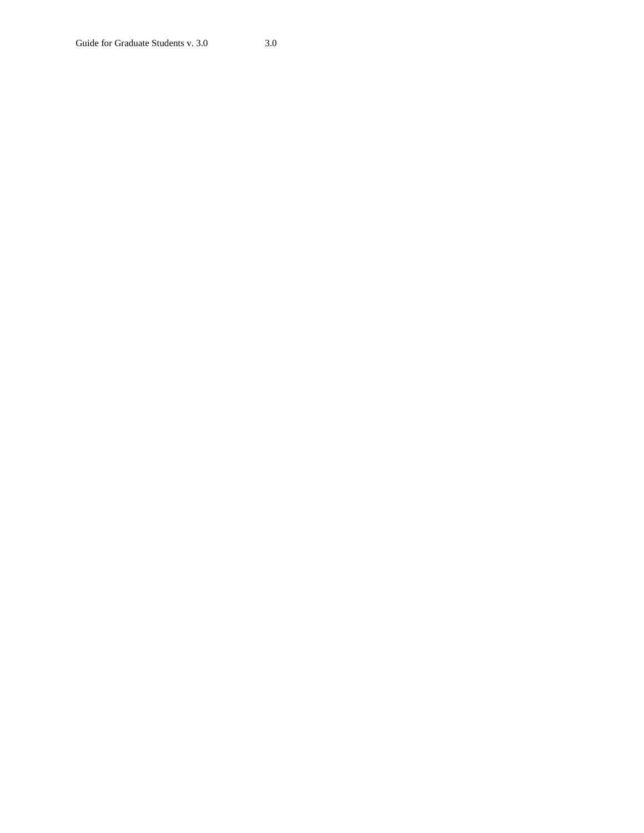Guide for Graduate Students v. 3.0 3.0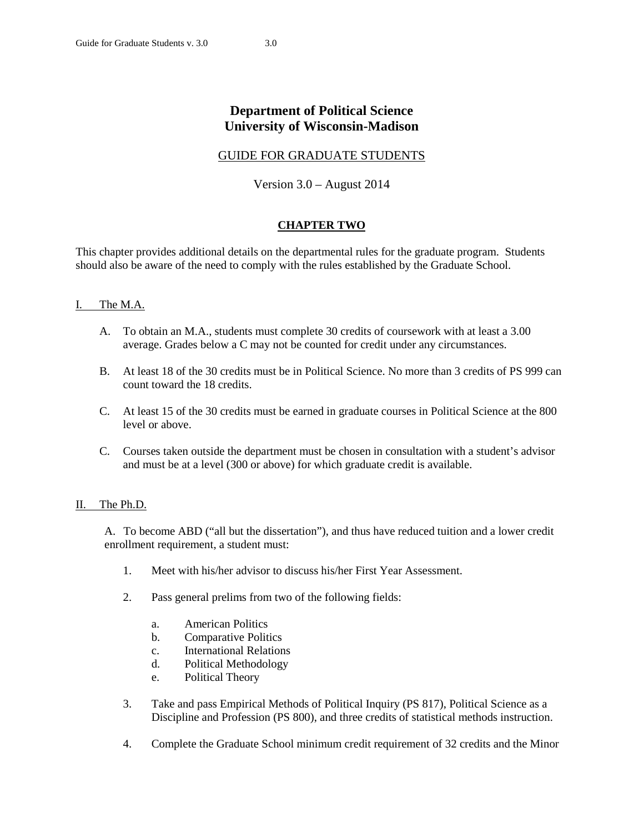# **Department of Political Science University of Wisconsin-Madison**

## GUIDE FOR GRADUATE STUDENTS

Version 3.0 – August 2014

## **CHAPTER TWO**

This chapter provides additional details on the departmental rules for the graduate program. Students should also be aware of the need to comply with the rules established by the Graduate School.

## I. The M.A.

- A. To obtain an M.A., students must complete 30 credits of coursework with at least a 3.00 average. Grades below a C may not be counted for credit under any circumstances.
- B. At least 18 of the 30 credits must be in Political Science. No more than 3 credits of PS 999 can count toward the 18 credits.
- C. At least 15 of the 30 credits must be earned in graduate courses in Political Science at the 800 level or above.
- C. Courses taken outside the department must be chosen in consultation with a student's advisor and must be at a level (300 or above) for which graduate credit is available.

## II. The Ph.D.

A. To become ABD ("all but the dissertation"), and thus have reduced tuition and a lower credit enrollment requirement, a student must:

- 1. Meet with his/her advisor to discuss his/her First Year Assessment.
- 2. Pass general prelims from two of the following fields:
	- a. American Politics
	- b. Comparative Politics
	- c. International Relations
	- d. Political Methodology
	- e. Political Theory
- 3. Take and pass Empirical Methods of Political Inquiry (PS 817), Political Science as a Discipline and Profession (PS 800), and three credits of statistical methods instruction.
- 4. Complete the Graduate School minimum credit requirement of 32 credits and the Minor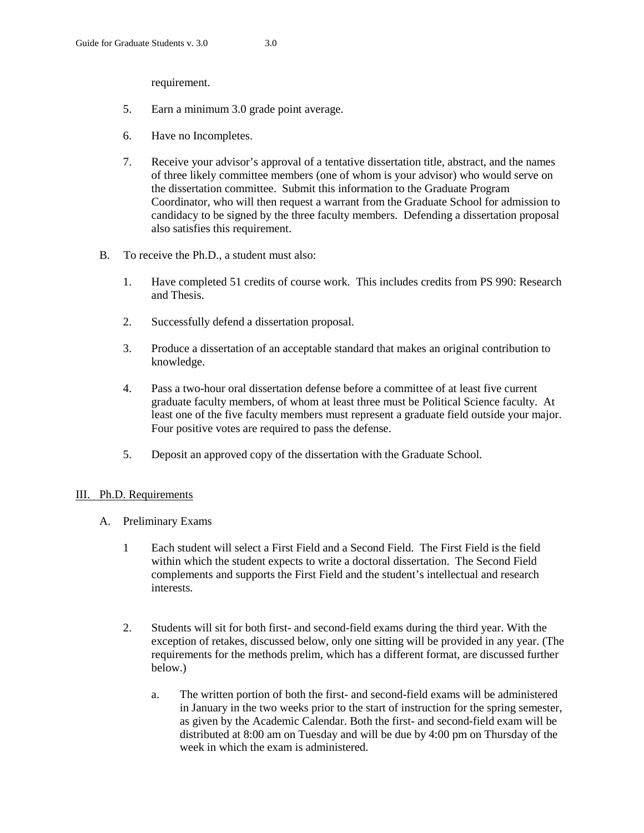requirement.

- 5. Earn a minimum 3.0 grade point average.
- 6. Have no Incompletes.
- 7. Receive your advisor's approval of a tentative dissertation title, abstract, and the names of three likely committee members (one of whom is your advisor) who would serve on the dissertation committee. Submit this information to the Graduate Program Coordinator, who will then request a warrant from the Graduate School for admission to candidacy to be signed by the three faculty members. Defending a dissertation proposal also satisfies this requirement.
- B. To receive the Ph.D., a student must also:
	- 1. Have completed 51 credits of course work. This includes credits from PS 990: Research and Thesis.
	- 2. Successfully defend a dissertation proposal.
	- 3. Produce a dissertation of an acceptable standard that makes an original contribution to knowledge.
	- 4. Pass a two-hour oral dissertation defense before a committee of at least five current graduate faculty members, of whom at least three must be Political Science faculty. At least one of the five faculty members must represent a graduate field outside your major. Four positive votes are required to pass the defense.
	- 5. Deposit an approved copy of the dissertation with the Graduate School.

## III. Ph.D. Requirements

- A. Preliminary Exams
	- 1 Each student will select a First Field and a Second Field. The First Field is the field within which the student expects to write a doctoral dissertation. The Second Field complements and supports the First Field and the student's intellectual and research interests.
	- 2. Students will sit for both first- and second-field exams during the third year. With the exception of retakes, discussed below, only one sitting will be provided in any year. (The requirements for the methods prelim, which has a different format, are discussed further below.)
		- a. The written portion of both the first- and second-field exams will be administered in January in the two weeks prior to the start of instruction for the spring semester, as given by the Academic Calendar. Both the first- and second-field exam will be distributed at 8:00 am on Tuesday and will be due by 4:00 pm on Thursday of the week in which the exam is administered.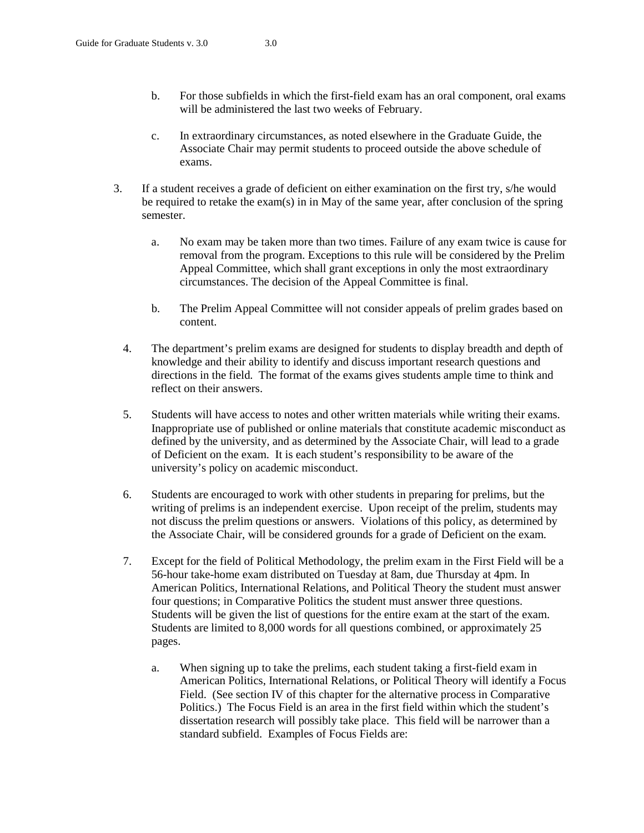- b. For those subfields in which the first-field exam has an oral component, oral exams will be administered the last two weeks of February.
- c. In extraordinary circumstances, as noted elsewhere in the Graduate Guide, the Associate Chair may permit students to proceed outside the above schedule of exams.
- 3. If a student receives a grade of deficient on either examination on the first try, s/he would be required to retake the exam(s) in in May of the same year, after conclusion of the spring semester.
	- a. No exam may be taken more than two times. Failure of any exam twice is cause for removal from the program. Exceptions to this rule will be considered by the Prelim Appeal Committee, which shall grant exceptions in only the most extraordinary circumstances. The decision of the Appeal Committee is final.
	- b. The Prelim Appeal Committee will not consider appeals of prelim grades based on content.
	- 4. The department's prelim exams are designed for students to display breadth and depth of knowledge and their ability to identify and discuss important research questions and directions in the field. The format of the exams gives students ample time to think and reflect on their answers.
	- 5. Students will have access to notes and other written materials while writing their exams. Inappropriate use of published or online materials that constitute academic misconduct as defined by the university, and as determined by the Associate Chair, will lead to a grade of Deficient on the exam. It is each student's responsibility to be aware of the university's policy on academic misconduct.
	- 6. Students are encouraged to work with other students in preparing for prelims, but the writing of prelims is an independent exercise. Upon receipt of the prelim, students may not discuss the prelim questions or answers. Violations of this policy, as determined by the Associate Chair, will be considered grounds for a grade of Deficient on the exam.
	- 7. Except for the field of Political Methodology, the prelim exam in the First Field will be a 56-hour take-home exam distributed on Tuesday at 8am, due Thursday at 4pm. In American Politics, International Relations, and Political Theory the student must answer four questions; in Comparative Politics the student must answer three questions. Students will be given the list of questions for the entire exam at the start of the exam. Students are limited to 8,000 words for all questions combined, or approximately 25 pages.
		- a. When signing up to take the prelims, each student taking a first-field exam in American Politics, International Relations, or Political Theory will identify a Focus Field. (See section IV of this chapter for the alternative process in Comparative Politics.) The Focus Field is an area in the first field within which the student's dissertation research will possibly take place. This field will be narrower than a standard subfield. Examples of Focus Fields are: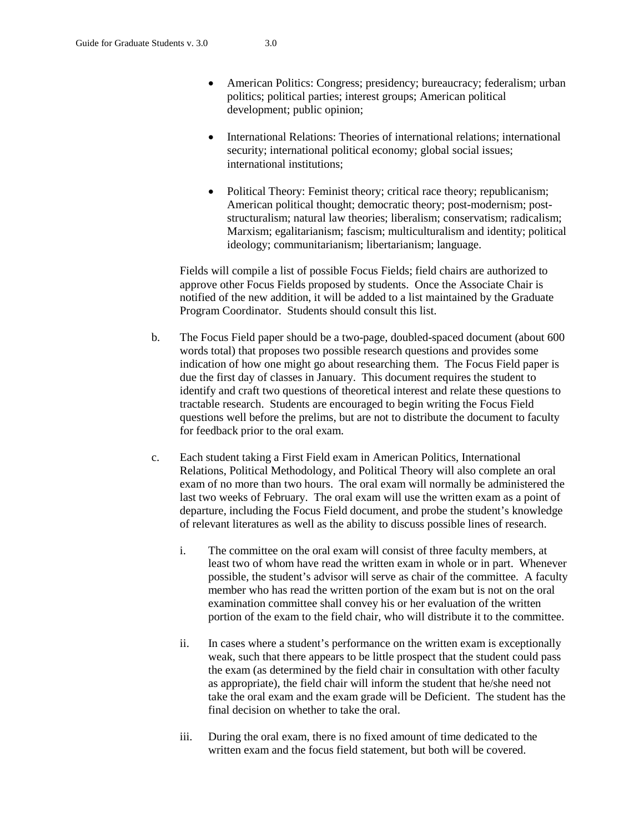- American Politics: Congress; presidency; bureaucracy; federalism; urban politics; political parties; interest groups; American political development; public opinion;
- International Relations: Theories of international relations; international security; international political economy; global social issues; international institutions;
- Political Theory: Feminist theory; critical race theory; republicanism; American political thought; democratic theory; post-modernism; poststructuralism; natural law theories; liberalism; conservatism; radicalism; Marxism; egalitarianism; fascism; multiculturalism and identity; political ideology; communitarianism; libertarianism; language.

Fields will compile a list of possible Focus Fields; field chairs are authorized to approve other Focus Fields proposed by students. Once the Associate Chair is notified of the new addition, it will be added to a list maintained by the Graduate Program Coordinator. Students should consult this list.

- b. The Focus Field paper should be a two-page, doubled-spaced document (about 600 words total) that proposes two possible research questions and provides some indication of how one might go about researching them. The Focus Field paper is due the first day of classes in January. This document requires the student to identify and craft two questions of theoretical interest and relate these questions to tractable research. Students are encouraged to begin writing the Focus Field questions well before the prelims, but are not to distribute the document to faculty for feedback prior to the oral exam.
- c. Each student taking a First Field exam in American Politics, International Relations, Political Methodology, and Political Theory will also complete an oral exam of no more than two hours. The oral exam will normally be administered the last two weeks of February. The oral exam will use the written exam as a point of departure, including the Focus Field document, and probe the student's knowledge of relevant literatures as well as the ability to discuss possible lines of research.
	- i. The committee on the oral exam will consist of three faculty members, at least two of whom have read the written exam in whole or in part. Whenever possible, the student's advisor will serve as chair of the committee. A faculty member who has read the written portion of the exam but is not on the oral examination committee shall convey his or her evaluation of the written portion of the exam to the field chair, who will distribute it to the committee.
	- ii. In cases where a student's performance on the written exam is exceptionally weak, such that there appears to be little prospect that the student could pass the exam (as determined by the field chair in consultation with other faculty as appropriate), the field chair will inform the student that he/she need not take the oral exam and the exam grade will be Deficient. The student has the final decision on whether to take the oral.
	- iii. During the oral exam, there is no fixed amount of time dedicated to the written exam and the focus field statement, but both will be covered.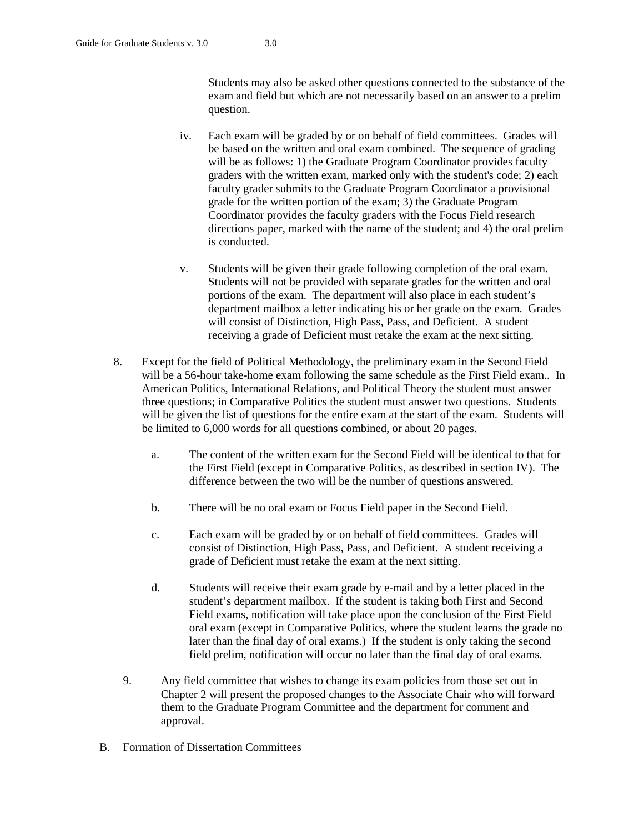Students may also be asked other questions connected to the substance of the exam and field but which are not necessarily based on an answer to a prelim question.

- iv. Each exam will be graded by or on behalf of field committees. Grades will be based on the written and oral exam combined. The sequence of grading will be as follows: 1) the Graduate Program Coordinator provides faculty graders with the written exam, marked only with the student's code; 2) each faculty grader submits to the Graduate Program Coordinator a provisional grade for the written portion of the exam; 3) the Graduate Program Coordinator provides the faculty graders with the Focus Field research directions paper, marked with the name of the student; and 4) the oral prelim is conducted.
- v. Students will be given their grade following completion of the oral exam. Students will not be provided with separate grades for the written and oral portions of the exam. The department will also place in each student's department mailbox a letter indicating his or her grade on the exam. Grades will consist of Distinction, High Pass, Pass, and Deficient. A student receiving a grade of Deficient must retake the exam at the next sitting.
- 8. Except for the field of Political Methodology, the preliminary exam in the Second Field will be a 56-hour take-home exam following the same schedule as the First Field exam.. In American Politics, International Relations, and Political Theory the student must answer three questions; in Comparative Politics the student must answer two questions. Students will be given the list of questions for the entire exam at the start of the exam. Students will be limited to 6,000 words for all questions combined, or about 20 pages.
	- a. The content of the written exam for the Second Field will be identical to that for the First Field (except in Comparative Politics, as described in section IV). The difference between the two will be the number of questions answered.
	- b. There will be no oral exam or Focus Field paper in the Second Field.
	- c. Each exam will be graded by or on behalf of field committees. Grades will consist of Distinction, High Pass, Pass, and Deficient. A student receiving a grade of Deficient must retake the exam at the next sitting.
	- d. Students will receive their exam grade by e-mail and by a letter placed in the student's department mailbox. If the student is taking both First and Second Field exams, notification will take place upon the conclusion of the First Field oral exam (except in Comparative Politics, where the student learns the grade no later than the final day of oral exams.) If the student is only taking the second field prelim, notification will occur no later than the final day of oral exams.
	- 9. Any field committee that wishes to change its exam policies from those set out in Chapter 2 will present the proposed changes to the Associate Chair who will forward them to the Graduate Program Committee and the department for comment and approval.
- B. Formation of Dissertation Committees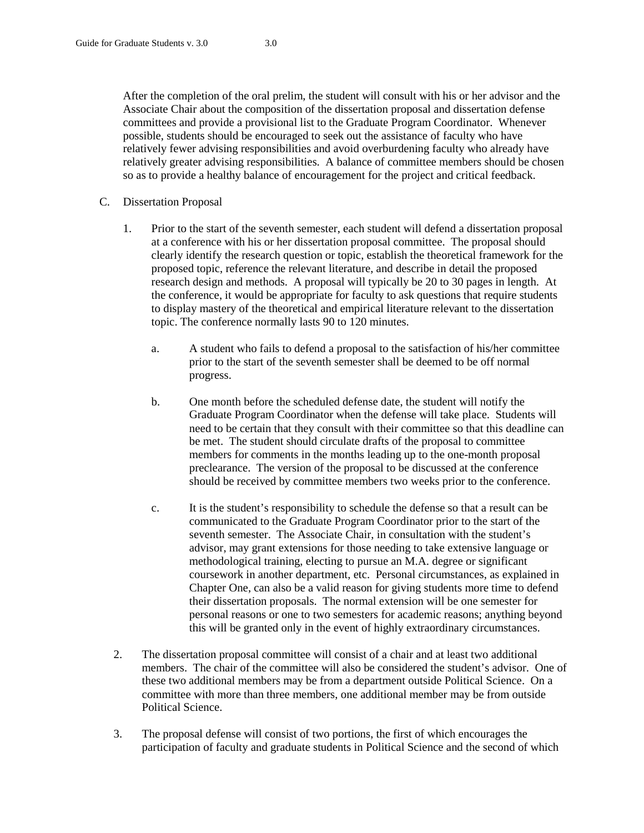After the completion of the oral prelim, the student will consult with his or her advisor and the Associate Chair about the composition of the dissertation proposal and dissertation defense committees and provide a provisional list to the Graduate Program Coordinator. Whenever possible, students should be encouraged to seek out the assistance of faculty who have relatively fewer advising responsibilities and avoid overburdening faculty who already have relatively greater advising responsibilities. A balance of committee members should be chosen so as to provide a healthy balance of encouragement for the project and critical feedback.

- C. Dissertation Proposal
	- 1. Prior to the start of the seventh semester, each student will defend a dissertation proposal at a conference with his or her dissertation proposal committee. The proposal should clearly identify the research question or topic, establish the theoretical framework for the proposed topic, reference the relevant literature, and describe in detail the proposed research design and methods. A proposal will typically be 20 to 30 pages in length. At the conference, it would be appropriate for faculty to ask questions that require students to display mastery of the theoretical and empirical literature relevant to the dissertation topic. The conference normally lasts 90 to 120 minutes.
		- a. A student who fails to defend a proposal to the satisfaction of his/her committee prior to the start of the seventh semester shall be deemed to be off normal progress.
		- b. One month before the scheduled defense date, the student will notify the Graduate Program Coordinator when the defense will take place. Students will need to be certain that they consult with their committee so that this deadline can be met. The student should circulate drafts of the proposal to committee members for comments in the months leading up to the one-month proposal preclearance. The version of the proposal to be discussed at the conference should be received by committee members two weeks prior to the conference.
		- c. It is the student's responsibility to schedule the defense so that a result can be communicated to the Graduate Program Coordinator prior to the start of the seventh semester. The Associate Chair, in consultation with the student's advisor, may grant extensions for those needing to take extensive language or methodological training, electing to pursue an M.A. degree or significant coursework in another department, etc. Personal circumstances, as explained in Chapter One, can also be a valid reason for giving students more time to defend their dissertation proposals. The normal extension will be one semester for personal reasons or one to two semesters for academic reasons; anything beyond this will be granted only in the event of highly extraordinary circumstances.
	- 2. The dissertation proposal committee will consist of a chair and at least two additional members. The chair of the committee will also be considered the student's advisor. One of these two additional members may be from a department outside Political Science. On a committee with more than three members, one additional member may be from outside Political Science.
	- 3. The proposal defense will consist of two portions, the first of which encourages the participation of faculty and graduate students in Political Science and the second of which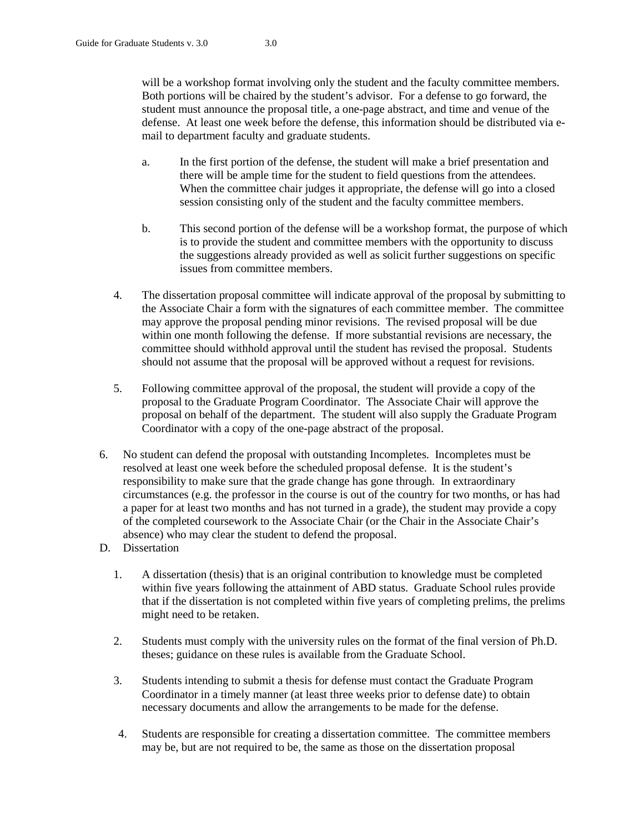will be a workshop format involving only the student and the faculty committee members. Both portions will be chaired by the student's advisor. For a defense to go forward, the student must announce the proposal title, a one-page abstract, and time and venue of the defense. At least one week before the defense, this information should be distributed via email to department faculty and graduate students.

- a. In the first portion of the defense, the student will make a brief presentation and there will be ample time for the student to field questions from the attendees. When the committee chair judges it appropriate, the defense will go into a closed session consisting only of the student and the faculty committee members.
- b. This second portion of the defense will be a workshop format, the purpose of which is to provide the student and committee members with the opportunity to discuss the suggestions already provided as well as solicit further suggestions on specific issues from committee members.
- 4. The dissertation proposal committee will indicate approval of the proposal by submitting to the Associate Chair a form with the signatures of each committee member. The committee may approve the proposal pending minor revisions. The revised proposal will be due within one month following the defense. If more substantial revisions are necessary, the committee should withhold approval until the student has revised the proposal. Students should not assume that the proposal will be approved without a request for revisions.
- 5. Following committee approval of the proposal, the student will provide a copy of the proposal to the Graduate Program Coordinator. The Associate Chair will approve the proposal on behalf of the department. The student will also supply the Graduate Program Coordinator with a copy of the one-page abstract of the proposal.
- 6. No student can defend the proposal with outstanding Incompletes. Incompletes must be resolved at least one week before the scheduled proposal defense. It is the student's responsibility to make sure that the grade change has gone through. In extraordinary circumstances (e.g. the professor in the course is out of the country for two months, or has had a paper for at least two months and has not turned in a grade), the student may provide a copy of the completed coursework to the Associate Chair (or the Chair in the Associate Chair's absence) who may clear the student to defend the proposal.
- D. Dissertation
	- 1. A dissertation (thesis) that is an original contribution to knowledge must be completed within five years following the attainment of ABD status. Graduate School rules provide that if the dissertation is not completed within five years of completing prelims, the prelims might need to be retaken.
	- 2. Students must comply with the university rules on the format of the final version of Ph.D. theses; guidance on these rules is available from the Graduate School.
	- 3. Students intending to submit a thesis for defense must contact the Graduate Program Coordinator in a timely manner (at least three weeks prior to defense date) to obtain necessary documents and allow the arrangements to be made for the defense.
	- 4. Students are responsible for creating a dissertation committee. The committee members may be, but are not required to be, the same as those on the dissertation proposal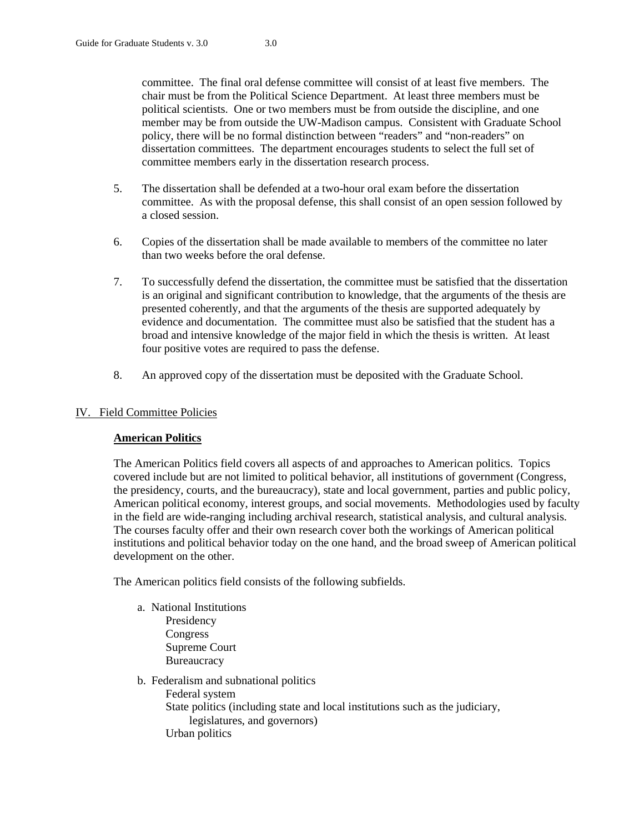committee. The final oral defense committee will consist of at least five members. The chair must be from the Political Science Department. At least three members must be political scientists. One or two members must be from outside the discipline, and one member may be from outside the UW-Madison campus. Consistent with Graduate School policy, there will be no formal distinction between "readers" and "non-readers" on dissertation committees. The department encourages students to select the full set of committee members early in the dissertation research process.

- 5. The dissertation shall be defended at a two-hour oral exam before the dissertation committee. As with the proposal defense, this shall consist of an open session followed by a closed session.
- 6. Copies of the dissertation shall be made available to members of the committee no later than two weeks before the oral defense.
- 7. To successfully defend the dissertation, the committee must be satisfied that the dissertation is an original and significant contribution to knowledge, that the arguments of the thesis are presented coherently, and that the arguments of the thesis are supported adequately by evidence and documentation. The committee must also be satisfied that the student has a broad and intensive knowledge of the major field in which the thesis is written. At least four positive votes are required to pass the defense.
- 8. An approved copy of the dissertation must be deposited with the Graduate School.

## IV. Field Committee Policies

## **American Politics**

The American Politics field covers all aspects of and approaches to American politics. Topics covered include but are not limited to political behavior, all institutions of government (Congress, the presidency, courts, and the bureaucracy), state and local government, parties and public policy, American political economy, interest groups, and social movements. Methodologies used by faculty in the field are wide-ranging including archival research, statistical analysis, and cultural analysis. The courses faculty offer and their own research cover both the workings of American political institutions and political behavior today on the one hand, and the broad sweep of American political development on the other.

The American politics field consists of the following subfields.

- a. National Institutions Presidency Congress Supreme Court **Bureaucracy**
- b. Federalism and subnational politics
	- Federal system
		- State politics (including state and local institutions such as the judiciary, legislatures, and governors) Urban politics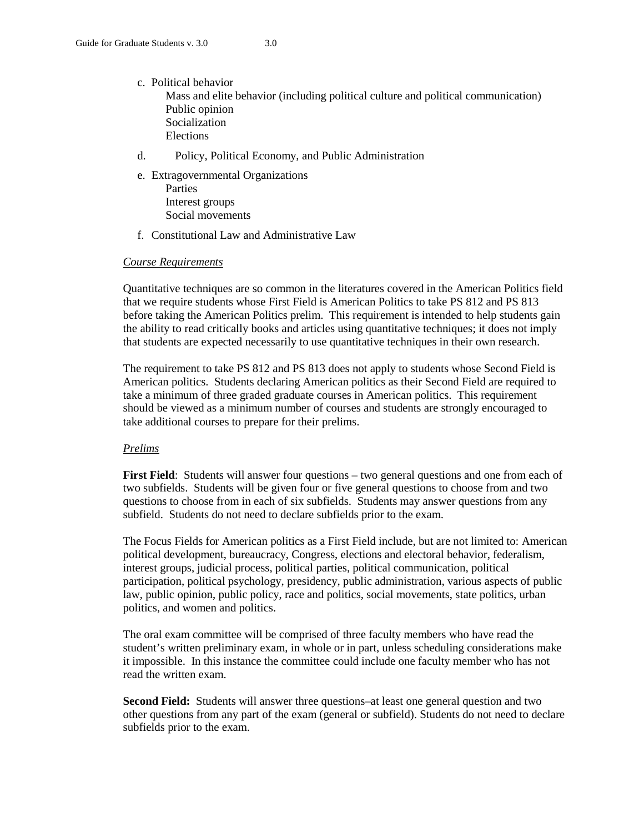c. Political behavior Mass and elite behavior (including political culture and political communication) Public opinion Socialization Elections

- d. Policy, Political Economy, and Public Administration
- e. Extragovernmental Organizations

Parties Interest groups Social movements

f. Constitutional Law and Administrative Law

### *Course Requirements*

Quantitative techniques are so common in the literatures covered in the American Politics field that we require students whose First Field is American Politics to take PS 812 and PS 813 before taking the American Politics prelim. This requirement is intended to help students gain the ability to read critically books and articles using quantitative techniques; it does not imply that students are expected necessarily to use quantitative techniques in their own research.

The requirement to take PS 812 and PS 813 does not apply to students whose Second Field is American politics. Students declaring American politics as their Second Field are required to take a minimum of three graded graduate courses in American politics. This requirement should be viewed as a minimum number of courses and students are strongly encouraged to take additional courses to prepare for their prelims.

#### *Prelims*

**First Field**: Students will answer four questions – two general questions and one from each of two subfields. Students will be given four or five general questions to choose from and two questions to choose from in each of six subfields. Students may answer questions from any subfield. Students do not need to declare subfields prior to the exam.

The Focus Fields for American politics as a First Field include, but are not limited to: American political development, bureaucracy, Congress, elections and electoral behavior, federalism, interest groups, judicial process, political parties, political communication, political participation, political psychology, presidency, public administration, various aspects of public law, public opinion, public policy, race and politics, social movements, state politics, urban politics, and women and politics.

The oral exam committee will be comprised of three faculty members who have read the student's written preliminary exam, in whole or in part, unless scheduling considerations make it impossible. In this instance the committee could include one faculty member who has not read the written exam.

**Second Field:** Students will answer three questions–at least one general question and two other questions from any part of the exam (general or subfield). Students do not need to declare subfields prior to the exam.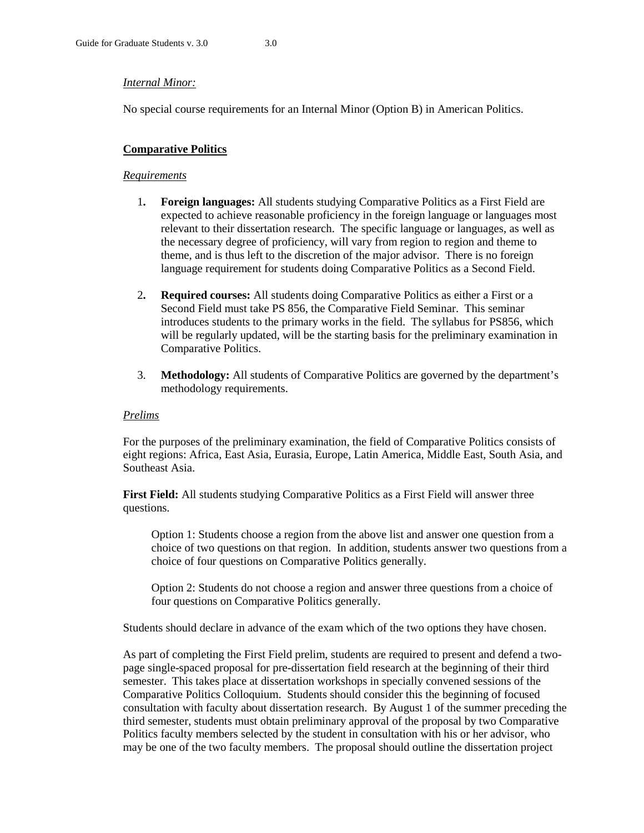### *Internal Minor:*

No special course requirements for an Internal Minor (Option B) in American Politics.

### **Comparative Politics**

### *Requirements*

- 1**. Foreign languages:** All students studying Comparative Politics as a First Field are expected to achieve reasonable proficiency in the foreign language or languages most relevant to their dissertation research. The specific language or languages, as well as the necessary degree of proficiency, will vary from region to region and theme to theme, and is thus left to the discretion of the major advisor. There is no foreign language requirement for students doing Comparative Politics as a Second Field.
- 2**. Required courses:** All students doing Comparative Politics as either a First or a Second Field must take PS 856, the Comparative Field Seminar. This seminar introduces students to the primary works in the field. The syllabus for PS856, which will be regularly updated, will be the starting basis for the preliminary examination in Comparative Politics.
- 3. **Methodology:** All students of Comparative Politics are governed by the department's methodology requirements.

### *Prelims*

For the purposes of the preliminary examination, the field of Comparative Politics consists of eight regions: Africa, East Asia, Eurasia, Europe, Latin America, Middle East, South Asia, and Southeast Asia.

**First Field:** All students studying Comparative Politics as a First Field will answer three questions.

Option 1: Students choose a region from the above list and answer one question from a choice of two questions on that region. In addition, students answer two questions from a choice of four questions on Comparative Politics generally.

Option 2: Students do not choose a region and answer three questions from a choice of four questions on Comparative Politics generally.

Students should declare in advance of the exam which of the two options they have chosen.

As part of completing the First Field prelim, students are required to present and defend a twopage single-spaced proposal for pre-dissertation field research at the beginning of their third semester. This takes place at dissertation workshops in specially convened sessions of the Comparative Politics Colloquium. Students should consider this the beginning of focused consultation with faculty about dissertation research. By August 1 of the summer preceding the third semester, students must obtain preliminary approval of the proposal by two Comparative Politics faculty members selected by the student in consultation with his or her advisor, who may be one of the two faculty members. The proposal should outline the dissertation project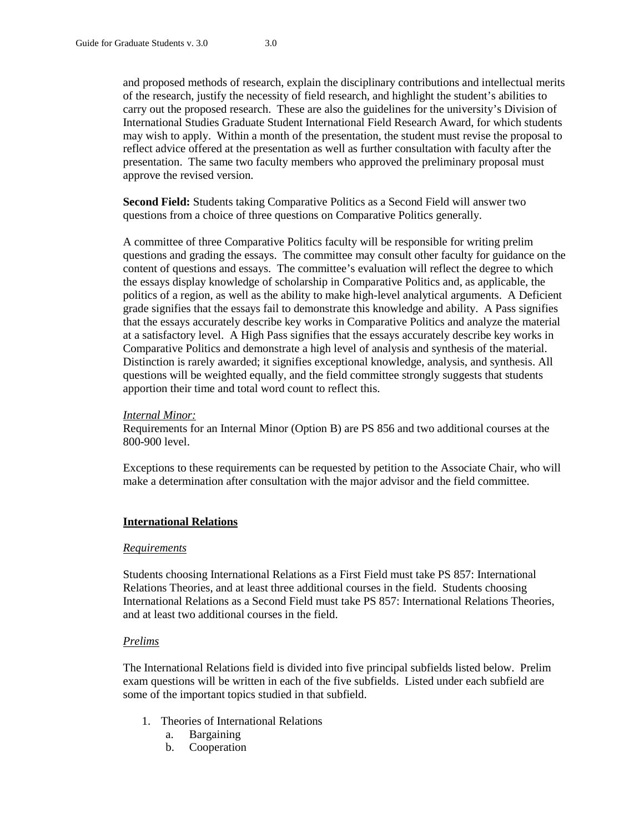and proposed methods of research, explain the disciplinary contributions and intellectual merits of the research, justify the necessity of field research, and highlight the student's abilities to carry out the proposed research. These are also the guidelines for the university's Division of International Studies Graduate Student International Field Research Award, for which students may wish to apply. Within a month of the presentation, the student must revise the proposal to reflect advice offered at the presentation as well as further consultation with faculty after the presentation. The same two faculty members who approved the preliminary proposal must approve the revised version.

**Second Field:** Students taking Comparative Politics as a Second Field will answer two questions from a choice of three questions on Comparative Politics generally.

A committee of three Comparative Politics faculty will be responsible for writing prelim questions and grading the essays. The committee may consult other faculty for guidance on the content of questions and essays. The committee's evaluation will reflect the degree to which the essays display knowledge of scholarship in Comparative Politics and, as applicable, the politics of a region, as well as the ability to make high-level analytical arguments. A Deficient grade signifies that the essays fail to demonstrate this knowledge and ability. A Pass signifies that the essays accurately describe key works in Comparative Politics and analyze the material at a satisfactory level. A High Pass signifies that the essays accurately describe key works in Comparative Politics and demonstrate a high level of analysis and synthesis of the material. Distinction is rarely awarded; it signifies exceptional knowledge, analysis, and synthesis. All questions will be weighted equally, and the field committee strongly suggests that students apportion their time and total word count to reflect this.

### *Internal Minor:*

Requirements for an Internal Minor (Option B) are PS 856 and two additional courses at the 800-900 level.

Exceptions to these requirements can be requested by petition to the Associate Chair, who will make a determination after consultation with the major advisor and the field committee.

### **International Relations**

#### *Requirements*

Students choosing International Relations as a First Field must take PS 857: International Relations Theories, and at least three additional courses in the field. Students choosing International Relations as a Second Field must take PS 857: International Relations Theories, and at least two additional courses in the field.

### *Prelims*

The International Relations field is divided into five principal subfields listed below. Prelim exam questions will be written in each of the five subfields. Listed under each subfield are some of the important topics studied in that subfield.

- 1. Theories of International Relations
	- a. Bargaining
	- b. Cooperation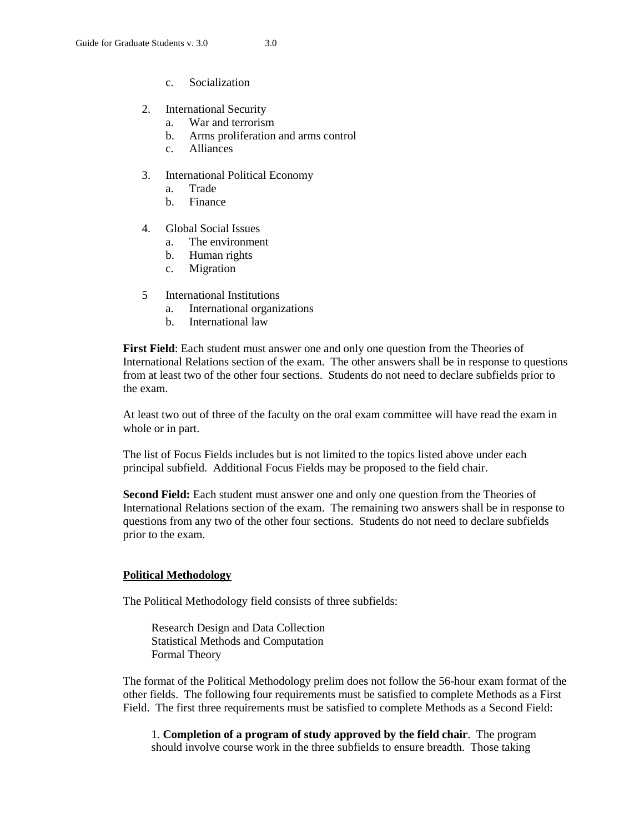- c. Socialization
- 2. International Security
	- a. War and terrorism
	- b. Arms proliferation and arms control
	- c. Alliances
- 3. International Political Economy
	- a. Trade
	- b. Finance
- 4. Global Social Issues
	- a. The environment
	- b. Human rights
	- c. Migration
- 5 International Institutions
	- a. International organizations
	- b. International law

**First Field**: Each student must answer one and only one question from the Theories of International Relations section of the exam. The other answers shall be in response to questions from at least two of the other four sections. Students do not need to declare subfields prior to the exam.

At least two out of three of the faculty on the oral exam committee will have read the exam in whole or in part.

The list of Focus Fields includes but is not limited to the topics listed above under each principal subfield. Additional Focus Fields may be proposed to the field chair.

**Second Field:** Each student must answer one and only one question from the Theories of International Relations section of the exam. The remaining two answers shall be in response to questions from any two of the other four sections. Students do not need to declare subfields prior to the exam.

## **Political Methodology**

The Political Methodology field consists of three subfields:

Research Design and Data Collection Statistical Methods and Computation Formal Theory

The format of the Political Methodology prelim does not follow the 56-hour exam format of the other fields. The following four requirements must be satisfied to complete Methods as a First Field. The first three requirements must be satisfied to complete Methods as a Second Field:

1. **Completion of a program of study approved by the field chair**. The program should involve course work in the three subfields to ensure breadth. Those taking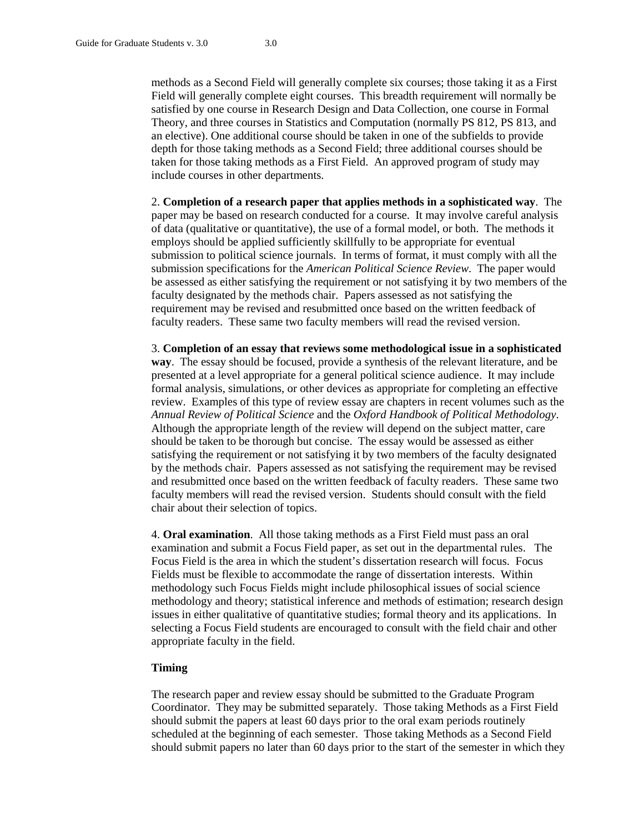methods as a Second Field will generally complete six courses; those taking it as a First Field will generally complete eight courses. This breadth requirement will normally be satisfied by one course in Research Design and Data Collection, one course in Formal Theory, and three courses in Statistics and Computation (normally PS 812, PS 813, and an elective). One additional course should be taken in one of the subfields to provide depth for those taking methods as a Second Field; three additional courses should be taken for those taking methods as a First Field. An approved program of study may include courses in other departments.

2. **Completion of a research paper that applies methods in a sophisticated way**. The paper may be based on research conducted for a course. It may involve careful analysis of data (qualitative or quantitative), the use of a formal model, or both. The methods it employs should be applied sufficiently skillfully to be appropriate for eventual submission to political science journals. In terms of format, it must comply with all the submission specifications for the *American Political Science Review*. The paper would be assessed as either satisfying the requirement or not satisfying it by two members of the faculty designated by the methods chair. Papers assessed as not satisfying the requirement may be revised and resubmitted once based on the written feedback of faculty readers. These same two faculty members will read the revised version.

3. **Completion of an essay that reviews some methodological issue in a sophisticated way**. The essay should be focused, provide a synthesis of the relevant literature, and be presented at a level appropriate for a general political science audience. It may include formal analysis, simulations, or other devices as appropriate for completing an effective review. Examples of this type of review essay are chapters in recent volumes such as the *Annual Review of Political Science* and the *Oxford Handbook of Political Methodology*. Although the appropriate length of the review will depend on the subject matter, care should be taken to be thorough but concise. The essay would be assessed as either satisfying the requirement or not satisfying it by two members of the faculty designated by the methods chair. Papers assessed as not satisfying the requirement may be revised and resubmitted once based on the written feedback of faculty readers. These same two faculty members will read the revised version. Students should consult with the field chair about their selection of topics.

4. **Oral examination**. All those taking methods as a First Field must pass an oral examination and submit a Focus Field paper, as set out in the departmental rules. The Focus Field is the area in which the student's dissertation research will focus. Focus Fields must be flexible to accommodate the range of dissertation interests. Within methodology such Focus Fields might include philosophical issues of social science methodology and theory; statistical inference and methods of estimation; research design issues in either qualitative of quantitative studies; formal theory and its applications. In selecting a Focus Field students are encouraged to consult with the field chair and other appropriate faculty in the field.

## **Timing**

The research paper and review essay should be submitted to the Graduate Program Coordinator. They may be submitted separately. Those taking Methods as a First Field should submit the papers at least 60 days prior to the oral exam periods routinely scheduled at the beginning of each semester. Those taking Methods as a Second Field should submit papers no later than 60 days prior to the start of the semester in which they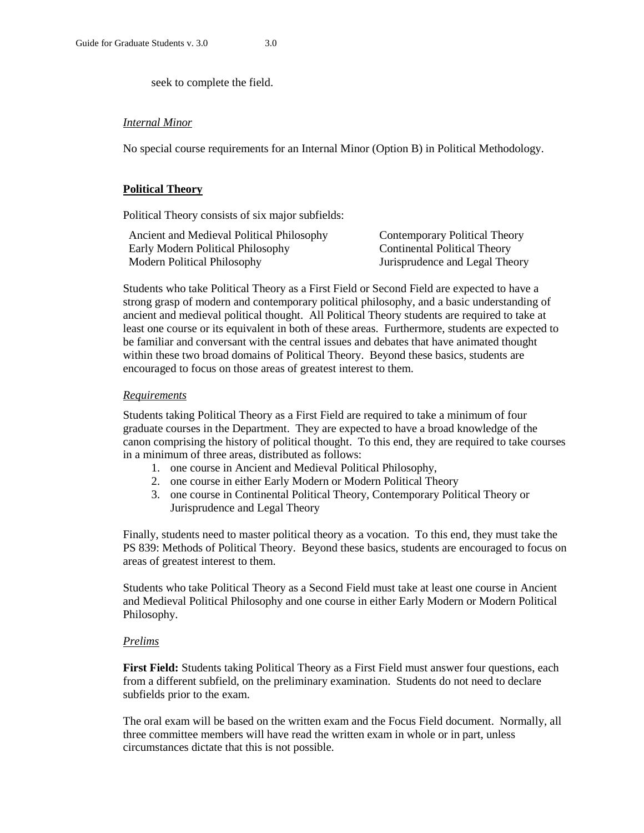seek to complete the field.

### *Internal Minor*

No special course requirements for an Internal Minor (Option B) in Political Methodology.

### **Political Theory**

Political Theory consists of six major subfields:

| Ancient and Medieval Political Philosophy | <b>Contemporary Political Theory</b> |
|-------------------------------------------|--------------------------------------|
| Early Modern Political Philosophy         | Continental Political Theory         |
| Modern Political Philosophy               | Jurisprudence and Legal Theory       |

Students who take Political Theory as a First Field or Second Field are expected to have a strong grasp of modern and contemporary political philosophy, and a basic understanding of ancient and medieval political thought. All Political Theory students are required to take at least one course or its equivalent in both of these areas. Furthermore, students are expected to be familiar and conversant with the central issues and debates that have animated thought within these two broad domains of Political Theory. Beyond these basics, students are encouraged to focus on those areas of greatest interest to them.

### *Requirements*

Students taking Political Theory as a First Field are required to take a minimum of four graduate courses in the Department. They are expected to have a broad knowledge of the canon comprising the history of political thought. To this end, they are required to take courses in a minimum of three areas, distributed as follows:

- 1. one course in Ancient and Medieval Political Philosophy,
- 2. one course in either Early Modern or Modern Political Theory
- 3. one course in Continental Political Theory, Contemporary Political Theory or Jurisprudence and Legal Theory

Finally, students need to master political theory as a vocation. To this end, they must take the PS 839: Methods of Political Theory. Beyond these basics, students are encouraged to focus on areas of greatest interest to them.

Students who take Political Theory as a Second Field must take at least one course in Ancient and Medieval Political Philosophy and one course in either Early Modern or Modern Political Philosophy.

## *Prelims*

**First Field:** Students taking Political Theory as a First Field must answer four questions, each from a different subfield, on the preliminary examination. Students do not need to declare subfields prior to the exam.

The oral exam will be based on the written exam and the Focus Field document. Normally, all three committee members will have read the written exam in whole or in part, unless circumstances dictate that this is not possible.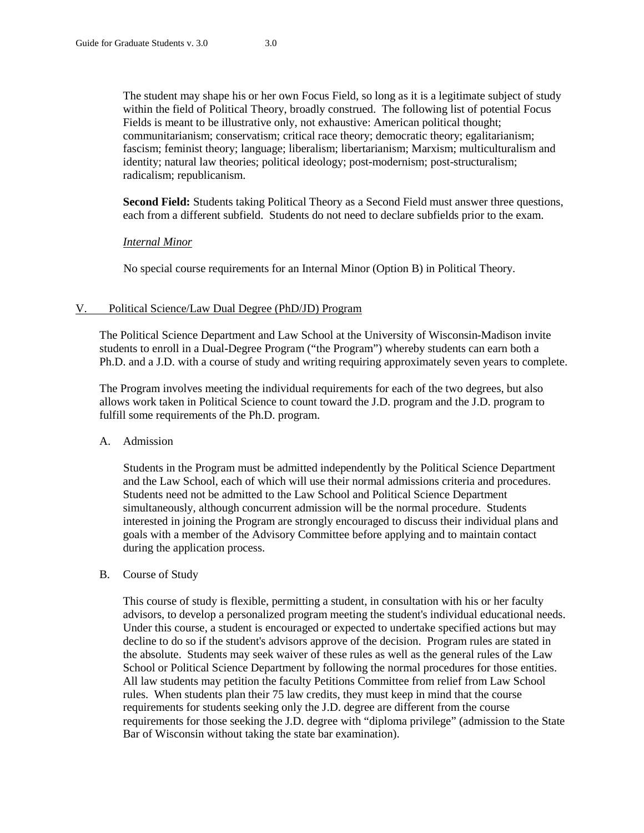The student may shape his or her own Focus Field, so long as it is a legitimate subject of study within the field of Political Theory, broadly construed. The following list of potential Focus Fields is meant to be illustrative only, not exhaustive: American political thought; communitarianism; conservatism; critical race theory; democratic theory; egalitarianism; fascism; feminist theory; language; liberalism; libertarianism; Marxism; multiculturalism and identity; natural law theories; political ideology; post-modernism; post-structuralism; radicalism; republicanism.

**Second Field:** Students taking Political Theory as a Second Field must answer three questions, each from a different subfield. Students do not need to declare subfields prior to the exam.

### *Internal Minor*

No special course requirements for an Internal Minor (Option B) in Political Theory.

#### V. Political Science/Law Dual Degree (PhD/JD) Program

The Political Science Department and Law School at the University of Wisconsin-Madison invite students to enroll in a Dual-Degree Program ("the Program") whereby students can earn both a Ph.D. and a J.D. with a course of study and writing requiring approximately seven years to complete.

The Program involves meeting the individual requirements for each of the two degrees, but also allows work taken in Political Science to count toward the J.D. program and the J.D. program to fulfill some requirements of the Ph.D. program.

#### A. Admission

Students in the Program must be admitted independently by the Political Science Department and the Law School, each of which will use their normal admissions criteria and procedures. Students need not be admitted to the Law School and Political Science Department simultaneously, although concurrent admission will be the normal procedure. Students interested in joining the Program are strongly encouraged to discuss their individual plans and goals with a member of the Advisory Committee before applying and to maintain contact during the application process.

#### B. Course of Study

This course of study is flexible, permitting a student, in consultation with his or her faculty advisors, to develop a personalized program meeting the student's individual educational needs. Under this course, a student is encouraged or expected to undertake specified actions but may decline to do so if the student's advisors approve of the decision. Program rules are stated in the absolute. Students may seek waiver of these rules as well as the general rules of the Law School or Political Science Department by following the normal procedures for those entities. All law students may petition the faculty Petitions Committee from relief from Law School rules. When students plan their 75 law credits, they must keep in mind that the course requirements for students seeking only the J.D. degree are different from the course requirements for those seeking the J.D. degree with "diploma privilege" (admission to the State Bar of Wisconsin without taking the state bar examination).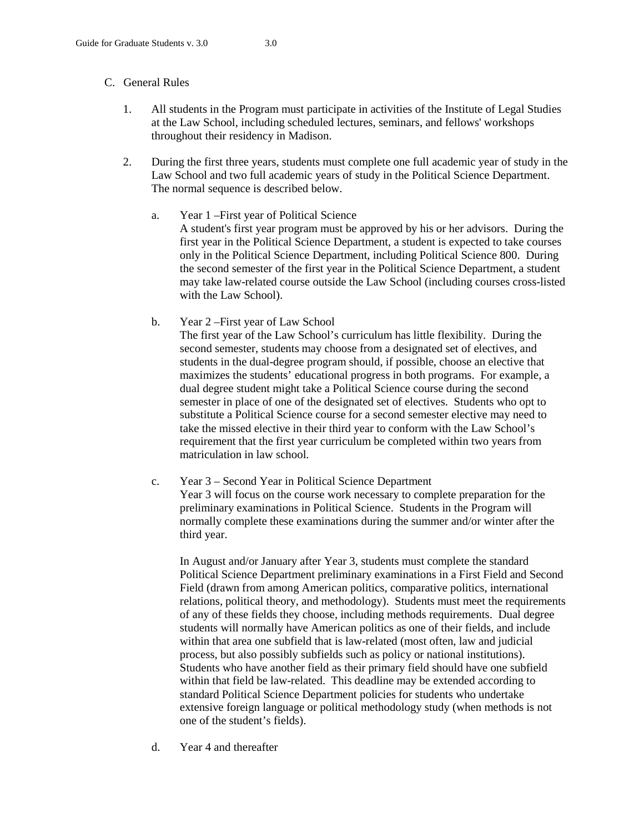## C. General Rules

- 1. All students in the Program must participate in activities of the Institute of Legal Studies at the Law School, including scheduled lectures, seminars, and fellows' workshops throughout their residency in Madison.
- 2. During the first three years, students must complete one full academic year of study in the Law School and two full academic years of study in the Political Science Department. The normal sequence is described below.
	- a. Year 1 –First year of Political Science

A student's first year program must be approved by his or her advisors. During the first year in the Political Science Department, a student is expected to take courses only in the Political Science Department, including Political Science 800. During the second semester of the first year in the Political Science Department, a student may take law-related course outside the Law School (including courses cross-listed with the Law School).

b. Year 2 –First year of Law School

The first year of the Law School's curriculum has little flexibility. During the second semester, students may choose from a designated set of electives, and students in the dual-degree program should, if possible, choose an elective that maximizes the students' educational progress in both programs. For example, a dual degree student might take a Political Science course during the second semester in place of one of the designated set of electives. Students who opt to substitute a Political Science course for a second semester elective may need to take the missed elective in their third year to conform with the Law School's requirement that the first year curriculum be completed within two years from matriculation in law school.

c. Year 3 – Second Year in Political Science Department Year 3 will focus on the course work necessary to complete preparation for the preliminary examinations in Political Science. Students in the Program will normally complete these examinations during the summer and/or winter after the third year.

In August and/or January after Year 3, students must complete the standard Political Science Department preliminary examinations in a First Field and Second Field (drawn from among American politics, comparative politics, international relations, political theory, and methodology). Students must meet the requirements of any of these fields they choose, including methods requirements. Dual degree students will normally have American politics as one of their fields, and include within that area one subfield that is law-related (most often, law and judicial process, but also possibly subfields such as policy or national institutions). Students who have another field as their primary field should have one subfield within that field be law-related. This deadline may be extended according to standard Political Science Department policies for students who undertake extensive foreign language or political methodology study (when methods is not one of the student's fields).

d. Year 4 and thereafter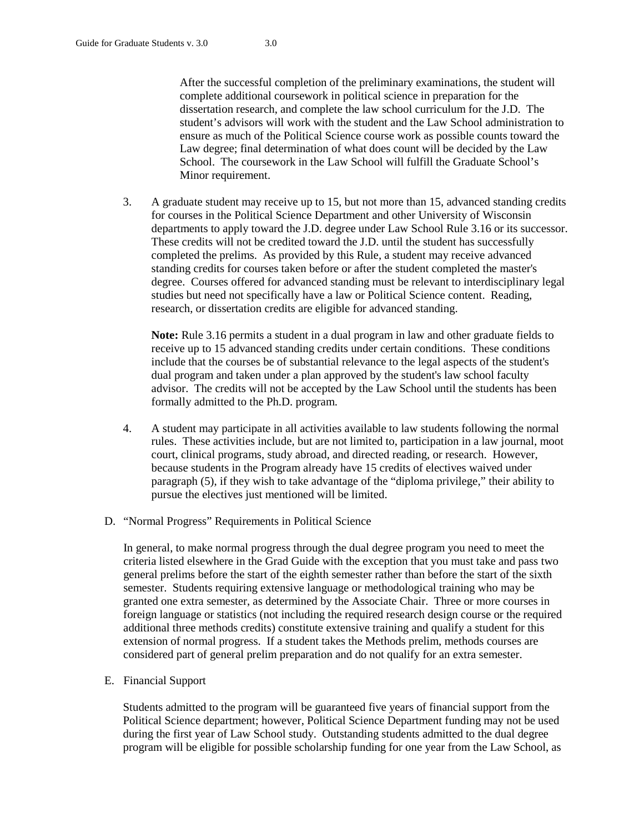After the successful completion of the preliminary examinations, the student will complete additional coursework in political science in preparation for the dissertation research, and complete the law school curriculum for the J.D. The student's advisors will work with the student and the Law School administration to ensure as much of the Political Science course work as possible counts toward the Law degree; final determination of what does count will be decided by the Law School. The coursework in the Law School will fulfill the Graduate School's Minor requirement.

3. A graduate student may receive up to 15, but not more than 15, advanced standing credits for courses in the Political Science Department and other University of Wisconsin departments to apply toward the J.D. degree under Law School Rule 3.16 or its successor. These credits will not be credited toward the J.D. until the student has successfully completed the prelims. As provided by this Rule, a student may receive advanced standing credits for courses taken before or after the student completed the master's degree. Courses offered for advanced standing must be relevant to interdisciplinary legal studies but need not specifically have a law or Political Science content. Reading, research, or dissertation credits are eligible for advanced standing.

**Note:** Rule 3.16 permits a student in a dual program in law and other graduate fields to receive up to 15 advanced standing credits under certain conditions. These conditions include that the courses be of substantial relevance to the legal aspects of the student's dual program and taken under a plan approved by the student's law school faculty advisor. The credits will not be accepted by the Law School until the students has been formally admitted to the Ph.D. program.

- 4. A student may participate in all activities available to law students following the normal rules. These activities include, but are not limited to, participation in a law journal, moot court, clinical programs, study abroad, and directed reading, or research. However, because students in the Program already have 15 credits of electives waived under paragraph (5), if they wish to take advantage of the "diploma privilege," their ability to pursue the electives just mentioned will be limited.
- D. "Normal Progress" Requirements in Political Science

In general, to make normal progress through the dual degree program you need to meet the criteria listed elsewhere in the Grad Guide with the exception that you must take and pass two general prelims before the start of the eighth semester rather than before the start of the sixth semester. Students requiring extensive language or methodological training who may be granted one extra semester, as determined by the Associate Chair. Three or more courses in foreign language or statistics (not including the required research design course or the required additional three methods credits) constitute extensive training and qualify a student for this extension of normal progress. If a student takes the Methods prelim, methods courses are considered part of general prelim preparation and do not qualify for an extra semester.

E. Financial Support

Students admitted to the program will be guaranteed five years of financial support from the Political Science department; however, Political Science Department funding may not be used during the first year of Law School study. Outstanding students admitted to the dual degree program will be eligible for possible scholarship funding for one year from the Law School, as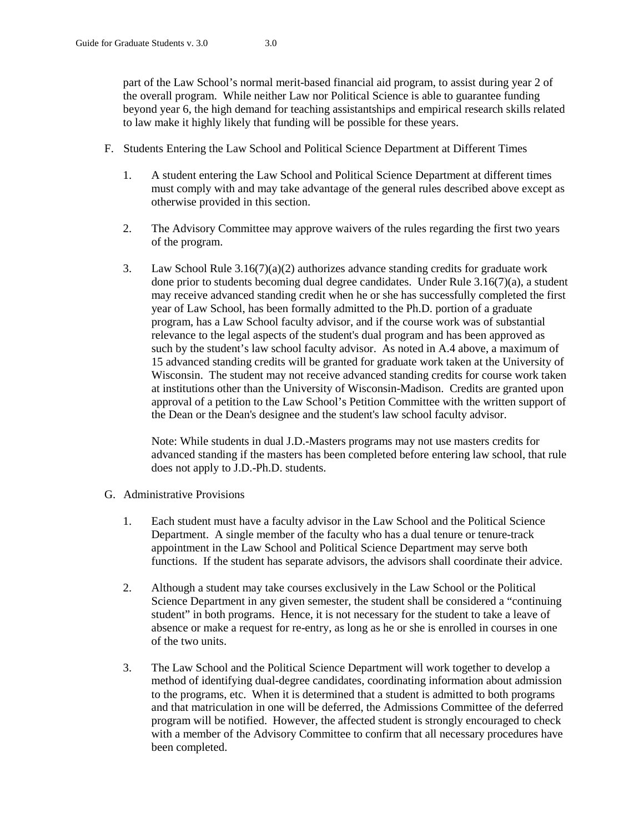part of the Law School's normal merit-based financial aid program, to assist during year 2 of the overall program. While neither Law nor Political Science is able to guarantee funding beyond year 6, the high demand for teaching assistantships and empirical research skills related to law make it highly likely that funding will be possible for these years.

- F. Students Entering the Law School and Political Science Department at Different Times
	- 1. A student entering the Law School and Political Science Department at different times must comply with and may take advantage of the general rules described above except as otherwise provided in this section.
	- 2. The Advisory Committee may approve waivers of the rules regarding the first two years of the program.
	- 3. Law School Rule 3.16(7)(a)(2) authorizes advance standing credits for graduate work done prior to students becoming dual degree candidates. Under Rule 3.16(7)(a), a student may receive advanced standing credit when he or she has successfully completed the first year of Law School, has been formally admitted to the Ph.D. portion of a graduate program, has a Law School faculty advisor, and if the course work was of substantial relevance to the legal aspects of the student's dual program and has been approved as such by the student's law school faculty advisor. As noted in A.4 above, a maximum of 15 advanced standing credits will be granted for graduate work taken at the University of Wisconsin. The student may not receive advanced standing credits for course work taken at institutions other than the University of Wisconsin-Madison. Credits are granted upon approval of a petition to the Law School's Petition Committee with the written support of the Dean or the Dean's designee and the student's law school faculty advisor.

Note: While students in dual J.D.-Masters programs may not use masters credits for advanced standing if the masters has been completed before entering law school, that rule does not apply to J.D.-Ph.D. students.

- G. Administrative Provisions
	- 1. Each student must have a faculty advisor in the Law School and the Political Science Department. A single member of the faculty who has a dual tenure or tenure-track appointment in the Law School and Political Science Department may serve both functions. If the student has separate advisors, the advisors shall coordinate their advice.
	- 2. Although a student may take courses exclusively in the Law School or the Political Science Department in any given semester, the student shall be considered a "continuing student" in both programs. Hence, it is not necessary for the student to take a leave of absence or make a request for re-entry, as long as he or she is enrolled in courses in one of the two units.
	- 3. The Law School and the Political Science Department will work together to develop a method of identifying dual-degree candidates, coordinating information about admission to the programs, etc. When it is determined that a student is admitted to both programs and that matriculation in one will be deferred, the Admissions Committee of the deferred program will be notified. However, the affected student is strongly encouraged to check with a member of the Advisory Committee to confirm that all necessary procedures have been completed.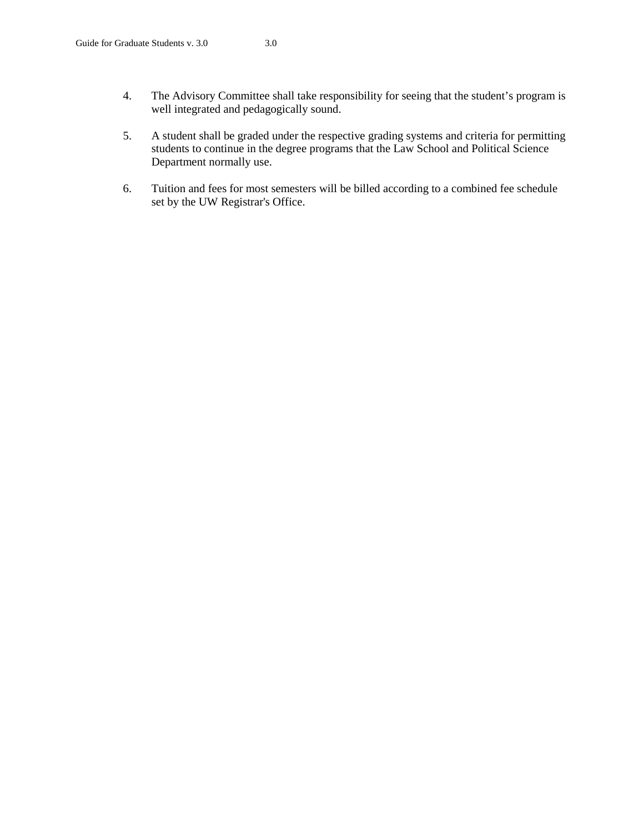- 4. The Advisory Committee shall take responsibility for seeing that the student's program is well integrated and pedagogically sound.
- 5. A student shall be graded under the respective grading systems and criteria for permitting students to continue in the degree programs that the Law School and Political Science Department normally use.
- 6. Tuition and fees for most semesters will be billed according to a combined fee schedule set by the UW Registrar's Office.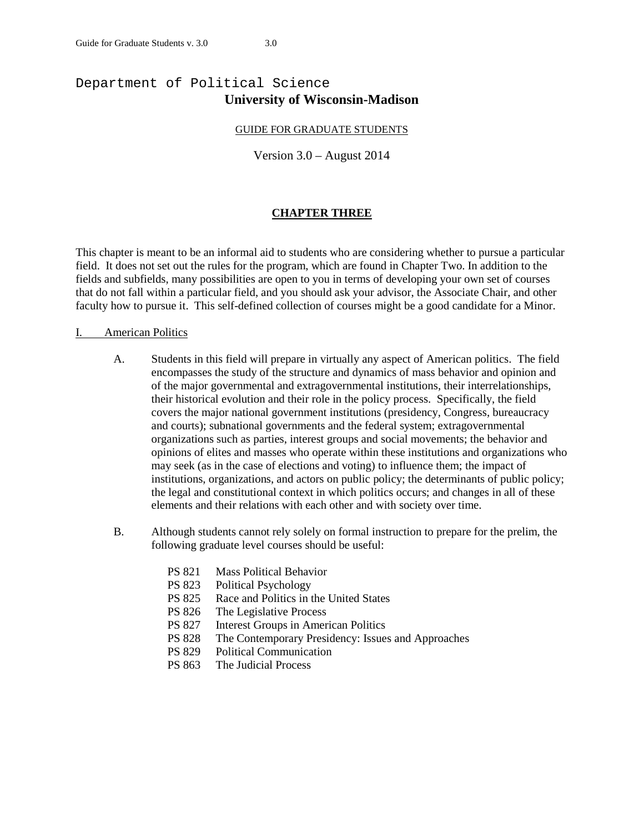# Department of Political Science **University of Wisconsin-Madison**

### GUIDE FOR GRADUATE STUDENTS

Version 3.0 – August 2014

## **CHAPTER THREE**

This chapter is meant to be an informal aid to students who are considering whether to pursue a particular field. It does not set out the rules for the program, which are found in Chapter Two. In addition to the fields and subfields, many possibilities are open to you in terms of developing your own set of courses that do not fall within a particular field, and you should ask your advisor, the Associate Chair, and other faculty how to pursue it. This self-defined collection of courses might be a good candidate for a Minor.

### I. American Politics

- A. Students in this field will prepare in virtually any aspect of American politics. The field encompasses the study of the structure and dynamics of mass behavior and opinion and of the major governmental and extragovernmental institutions, their interrelationships, their historical evolution and their role in the policy process. Specifically, the field covers the major national government institutions (presidency, Congress, bureaucracy and courts); subnational governments and the federal system; extragovernmental organizations such as parties, interest groups and social movements; the behavior and opinions of elites and masses who operate within these institutions and organizations who may seek (as in the case of elections and voting) to influence them; the impact of institutions, organizations, and actors on public policy; the determinants of public policy; the legal and constitutional context in which politics occurs; and changes in all of these elements and their relations with each other and with society over time.
- B. Although students cannot rely solely on formal instruction to prepare for the prelim, the following graduate level courses should be useful:
	- PS 821 Mass Political Behavior
	- PS 823 Political Psychology
	- PS 825 Race and Politics in the United States
	- PS 826 The Legislative Process
	- PS 827 Interest Groups in American Politics
	- PS 828 The Contemporary Presidency: Issues and Approaches
	- PS 829 Political Communication
	- PS 863 The Judicial Process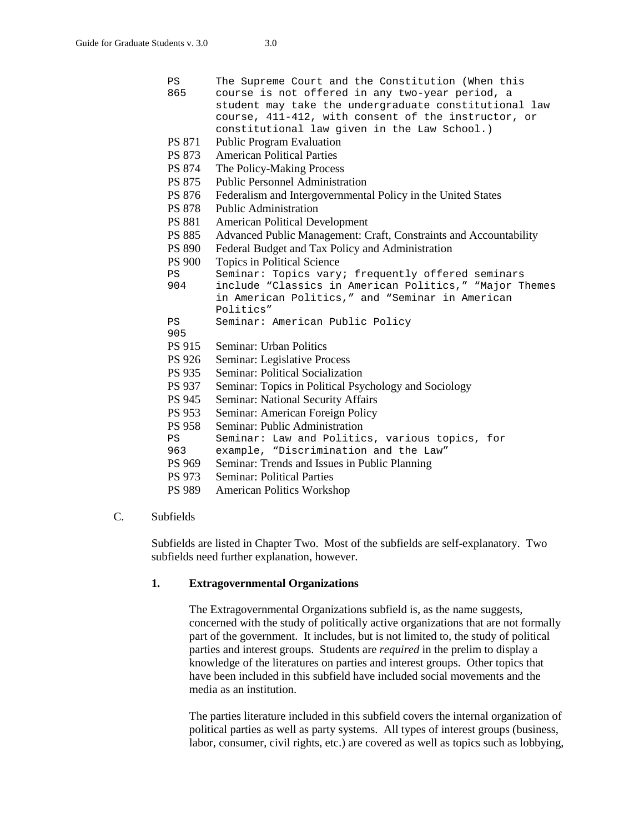- PS 865 The Supreme Court and the Constitution (When this course is not offered in any two-year period, a student may take the undergraduate constitutional law course, 411-412, with consent of the instructor, or constitutional law given in the Law School.)
- PS 871 Public Program Evaluation
- PS 873 American Political Parties
- PS 874 The Policy-Making Process
- PS 875 Public Personnel Administration
- PS 876 Federalism and Intergovernmental Policy in the United States
- PS 878 Public Administration
- PS 881 American Political Development
- PS 885 Advanced Public Management: Craft, Constraints and Accountability
- PS 890 Federal Budget and Tax Policy and Administration
- PS 900 Topics in Political Science
- PS Seminar: Topics vary; frequently offered seminars
- 904 include "Classics in American Politics," "Major Themes in American Politics," and "Seminar in American
- Politics"
- PS Seminar: American Public Policy
- 
- 905<br>PS 915 Seminar: Urban Politics
- PS 926 Seminar: Legislative Process
- PS 935 Seminar: Political Socialization
- PS 937 Seminar: Topics in Political Psychology and Sociology
- PS 945 Seminar: National Security Affairs
- PS 953 Seminar: American Foreign Policy
- PS 958 Seminar: Public Administration
- PS Seminar: Law and Politics, various topics, for
- 963<br>PS 969 example, "Discrimination and the Law"
- Seminar: Trends and Issues in Public Planning
- PS 973 Seminar: Political Parties
- PS 989 American Politics Workshop

### C. Subfields

Subfields are listed in Chapter Two. Most of the subfields are self-explanatory. Two subfields need further explanation, however.

### **1. Extragovernmental Organizations**

The Extragovernmental Organizations subfield is, as the name suggests, concerned with the study of politically active organizations that are not formally part of the government. It includes, but is not limited to, the study of political parties and interest groups. Students are *required* in the prelim to display a knowledge of the literatures on parties and interest groups. Other topics that have been included in this subfield have included social movements and the media as an institution.

The parties literature included in this subfield covers the internal organization of political parties as well as party systems. All types of interest groups (business, labor, consumer, civil rights, etc.) are covered as well as topics such as lobbying,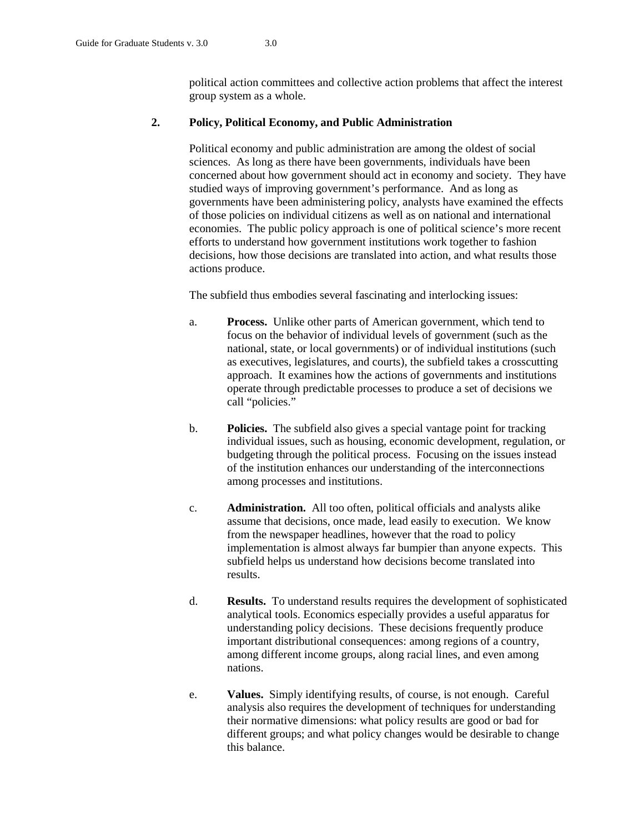political action committees and collective action problems that affect the interest group system as a whole.

### **2. Policy, Political Economy, and Public Administration**

Political economy and public administration are among the oldest of social sciences. As long as there have been governments, individuals have been concerned about how government should act in economy and society. They have studied ways of improving government's performance. And as long as governments have been administering policy, analysts have examined the effects of those policies on individual citizens as well as on national and international economies. The public policy approach is one of political science's more recent efforts to understand how government institutions work together to fashion decisions, how those decisions are translated into action, and what results those actions produce.

The subfield thus embodies several fascinating and interlocking issues:

- a. **Process.** Unlike other parts of American government, which tend to focus on the behavior of individual levels of government (such as the national, state, or local governments) or of individual institutions (such as executives, legislatures, and courts), the subfield takes a crosscutting approach. It examines how the actions of governments and institutions operate through predictable processes to produce a set of decisions we call "policies."
- b. **Policies.** The subfield also gives a special vantage point for tracking individual issues, such as housing, economic development, regulation, or budgeting through the political process. Focusing on the issues instead of the institution enhances our understanding of the interconnections among processes and institutions.
- c. **Administration.** All too often, political officials and analysts alike assume that decisions, once made, lead easily to execution. We know from the newspaper headlines, however that the road to policy implementation is almost always far bumpier than anyone expects. This subfield helps us understand how decisions become translated into results.
- d. **Results.** To understand results requires the development of sophisticated analytical tools. Economics especially provides a useful apparatus for understanding policy decisions. These decisions frequently produce important distributional consequences: among regions of a country, among different income groups, along racial lines, and even among nations.
- e. **Values.** Simply identifying results, of course, is not enough. Careful analysis also requires the development of techniques for understanding their normative dimensions: what policy results are good or bad for different groups; and what policy changes would be desirable to change this balance.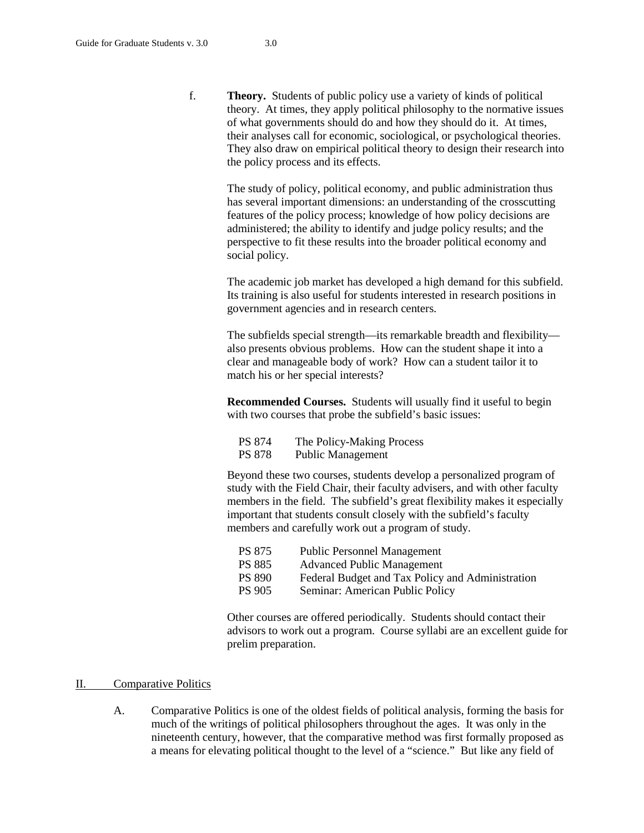f. **Theory.** Students of public policy use a variety of kinds of political theory. At times, they apply political philosophy to the normative issues of what governments should do and how they should do it. At times, their analyses call for economic, sociological, or psychological theories. They also draw on empirical political theory to design their research into the policy process and its effects.

The study of policy, political economy, and public administration thus has several important dimensions: an understanding of the crosscutting features of the policy process; knowledge of how policy decisions are administered; the ability to identify and judge policy results; and the perspective to fit these results into the broader political economy and social policy.

The academic job market has developed a high demand for this subfield. Its training is also useful for students interested in research positions in government agencies and in research centers.

The subfields special strength—its remarkable breadth and flexibility also presents obvious problems. How can the student shape it into a clear and manageable body of work? How can a student tailor it to match his or her special interests?

**Recommended Courses.** Students will usually find it useful to begin with two courses that probe the subfield's basic issues:

| PS 874 | The Policy-Making Process |
|--------|---------------------------|
| PS 878 | Public Management         |

Beyond these two courses, students develop a personalized program of study with the Field Chair, their faculty advisers, and with other faculty members in the field. The subfield's great flexibility makes it especially important that students consult closely with the subfield's faculty members and carefully work out a program of study.

| PS 875        | <b>Public Personnel Management</b>               |
|---------------|--------------------------------------------------|
| PS 885        | <b>Advanced Public Management</b>                |
| <b>PS 890</b> | Federal Budget and Tax Policy and Administration |
| PS 905        | Seminar: American Public Policy                  |

Other courses are offered periodically. Students should contact their advisors to work out a program. Course syllabi are an excellent guide for prelim preparation.

### II. Comparative Politics

A. Comparative Politics is one of the oldest fields of political analysis, forming the basis for much of the writings of political philosophers throughout the ages. It was only in the nineteenth century, however, that the comparative method was first formally proposed as a means for elevating political thought to the level of a "science." But like any field of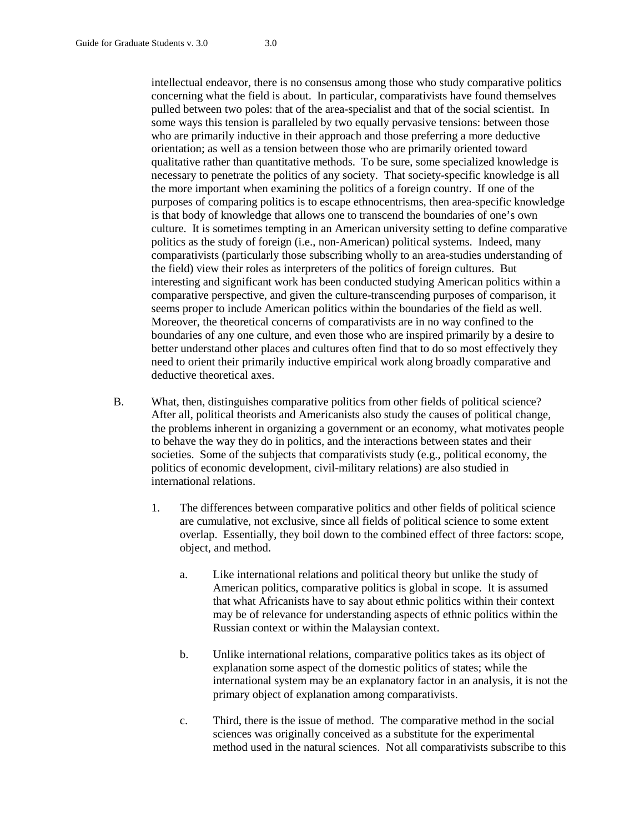intellectual endeavor, there is no consensus among those who study comparative politics concerning what the field is about. In particular, comparativists have found themselves pulled between two poles: that of the area-specialist and that of the social scientist. In some ways this tension is paralleled by two equally pervasive tensions: between those who are primarily inductive in their approach and those preferring a more deductive orientation; as well as a tension between those who are primarily oriented toward qualitative rather than quantitative methods. To be sure, some specialized knowledge is necessary to penetrate the politics of any society. That society-specific knowledge is all the more important when examining the politics of a foreign country. If one of the purposes of comparing politics is to escape ethnocentrisms, then area-specific knowledge is that body of knowledge that allows one to transcend the boundaries of one's own culture. It is sometimes tempting in an American university setting to define comparative politics as the study of foreign (i.e., non-American) political systems. Indeed, many comparativists (particularly those subscribing wholly to an area-studies understanding of the field) view their roles as interpreters of the politics of foreign cultures. But interesting and significant work has been conducted studying American politics within a comparative perspective, and given the culture-transcending purposes of comparison, it seems proper to include American politics within the boundaries of the field as well. Moreover, the theoretical concerns of comparativists are in no way confined to the boundaries of any one culture, and even those who are inspired primarily by a desire to better understand other places and cultures often find that to do so most effectively they need to orient their primarily inductive empirical work along broadly comparative and deductive theoretical axes.

- B. What, then, distinguishes comparative politics from other fields of political science? After all, political theorists and Americanists also study the causes of political change, the problems inherent in organizing a government or an economy, what motivates people to behave the way they do in politics, and the interactions between states and their societies. Some of the subjects that comparativists study (e.g., political economy, the politics of economic development, civil-military relations) are also studied in international relations.
	- 1. The differences between comparative politics and other fields of political science are cumulative, not exclusive, since all fields of political science to some extent overlap. Essentially, they boil down to the combined effect of three factors: scope, object, and method.
		- a. Like international relations and political theory but unlike the study of American politics, comparative politics is global in scope. It is assumed that what Africanists have to say about ethnic politics within their context may be of relevance for understanding aspects of ethnic politics within the Russian context or within the Malaysian context.
		- b. Unlike international relations, comparative politics takes as its object of explanation some aspect of the domestic politics of states; while the international system may be an explanatory factor in an analysis, it is not the primary object of explanation among comparativists.
		- c. Third, there is the issue of method. The comparative method in the social sciences was originally conceived as a substitute for the experimental method used in the natural sciences. Not all comparativists subscribe to this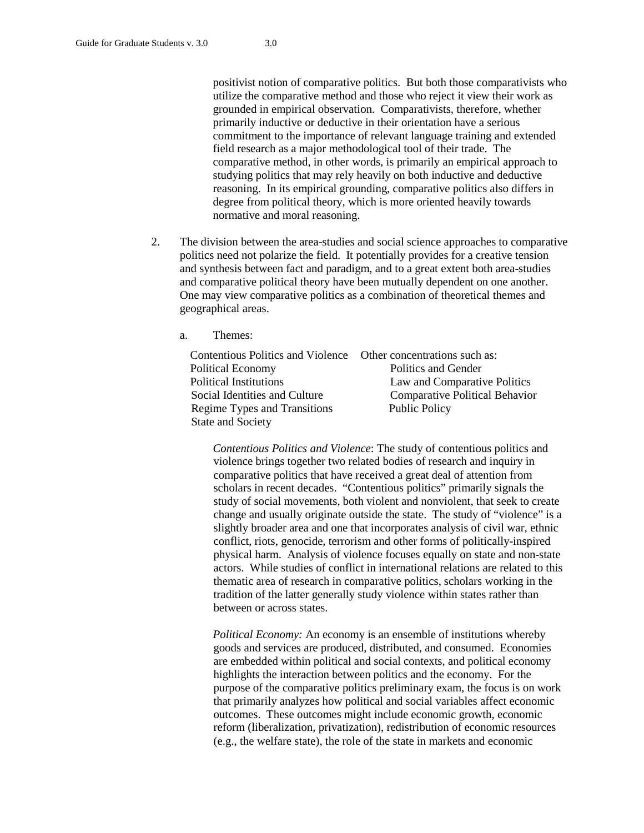positivist notion of comparative politics. But both those comparativists who utilize the comparative method and those who reject it view their work as grounded in empirical observation. Comparativists, therefore, whether primarily inductive or deductive in their orientation have a serious commitment to the importance of relevant language training and extended field research as a major methodological tool of their trade. The comparative method, in other words, is primarily an empirical approach to studying politics that may rely heavily on both inductive and deductive reasoning. In its empirical grounding, comparative politics also differs in degree from political theory, which is more oriented heavily towards normative and moral reasoning.

- 2. The division between the area-studies and social science approaches to comparative politics need not polarize the field. It potentially provides for a creative tension and synthesis between fact and paradigm, and to a great extent both area-studies and comparative political theory have been mutually dependent on one another. One may view comparative politics as a combination of theoretical themes and geographical areas.
	- a. Themes:

| Contentious Politics and Violence Other concentrations such as: |                                       |
|-----------------------------------------------------------------|---------------------------------------|
| <b>Political Economy</b>                                        | Politics and Gender                   |
| Political Institutions                                          | Law and Comparative Politics          |
| Social Identities and Culture                                   | <b>Comparative Political Behavior</b> |
| Regime Types and Transitions                                    | <b>Public Policy</b>                  |
| State and Society                                               |                                       |

*Contentious Politics and Violence*: The study of contentious politics and violence brings together two related bodies of research and inquiry in comparative politics that have received a great deal of attention from scholars in recent decades. "Contentious politics" primarily signals the study of social movements, both violent and nonviolent, that seek to create change and usually originate outside the state. The study of "violence" is a slightly broader area and one that incorporates analysis of civil war, ethnic conflict, riots, genocide, terrorism and other forms of politically-inspired physical harm. Analysis of violence focuses equally on state and non-state actors. While studies of conflict in international relations are related to this thematic area of research in comparative politics, scholars working in the tradition of the latter generally study violence within states rather than between or across states.

*Political Economy:* An economy is an ensemble of institutions whereby goods and services are produced, distributed, and consumed. Economies are embedded within political and social contexts, and political economy highlights the interaction between politics and the economy. For the purpose of the comparative politics preliminary exam, the focus is on work that primarily analyzes how political and social variables affect economic outcomes. These outcomes might include economic growth, economic reform (liberalization, privatization), redistribution of economic resources (e.g., the welfare state), the role of the state in markets and economic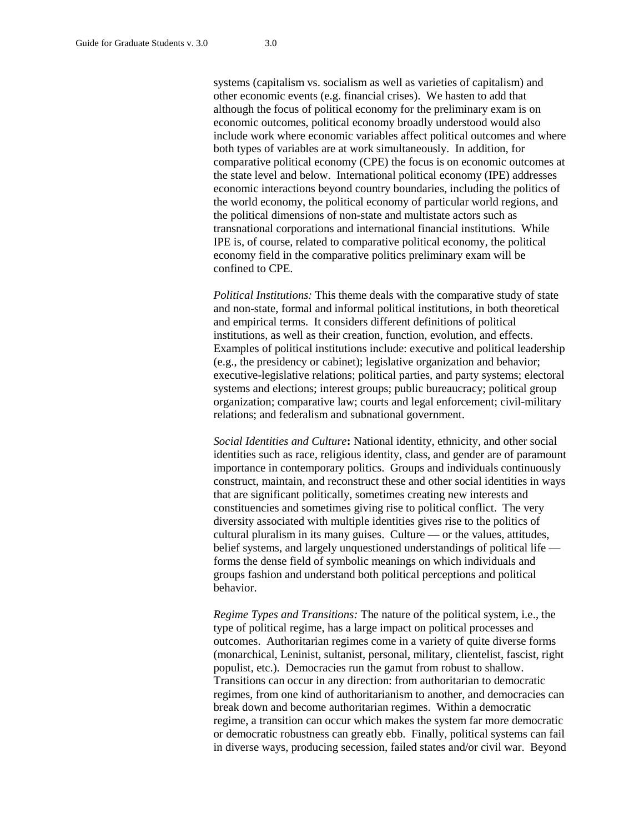systems (capitalism vs. socialism as well as varieties of capitalism) and other economic events (e.g. financial crises). We hasten to add that although the focus of political economy for the preliminary exam is on economic outcomes, political economy broadly understood would also include work where economic variables affect political outcomes and where both types of variables are at work simultaneously. In addition, for comparative political economy (CPE) the focus is on economic outcomes at the state level and below. International political economy (IPE) addresses economic interactions beyond country boundaries, including the politics of the world economy, the political economy of particular world regions, and the political dimensions of non-state and multistate actors such as transnational corporations and international financial institutions. While IPE is, of course, related to comparative political economy, the political economy field in the comparative politics preliminary exam will be confined to CPE.

*Political Institutions:* This theme deals with the comparative study of state and non-state, formal and informal political institutions, in both theoretical and empirical terms. It considers different definitions of political institutions, as well as their creation, function, evolution, and effects. Examples of political institutions include: executive and political leadership (e.g., the presidency or cabinet); legislative organization and behavior; executive-legislative relations; political parties, and party systems; electoral systems and elections; interest groups; public bureaucracy; political group organization; comparative law; courts and legal enforcement; civil-military relations; and federalism and subnational government.

*Social Identities and Culture***:** National identity, ethnicity, and other social identities such as race, religious identity, class, and gender are of paramount importance in contemporary politics. Groups and individuals continuously construct, maintain, and reconstruct these and other social identities in ways that are significant politically, sometimes creating new interests and constituencies and sometimes giving rise to political conflict. The very diversity associated with multiple identities gives rise to the politics of cultural pluralism in its many guises. Culture — or the values, attitudes, belief systems, and largely unquestioned understandings of political life forms the dense field of symbolic meanings on which individuals and groups fashion and understand both political perceptions and political behavior.

*Regime Types and Transitions:* The nature of the political system, i.e., the type of political regime, has a large impact on political processes and outcomes. Authoritarian regimes come in a variety of quite diverse forms (monarchical, Leninist, sultanist, personal, military, clientelist, fascist, right populist, etc.). Democracies run the gamut from robust to shallow. Transitions can occur in any direction: from authoritarian to democratic regimes, from one kind of authoritarianism to another, and democracies can break down and become authoritarian regimes. Within a democratic regime, a transition can occur which makes the system far more democratic or democratic robustness can greatly ebb. Finally, political systems can fail in diverse ways, producing secession, failed states and/or civil war. Beyond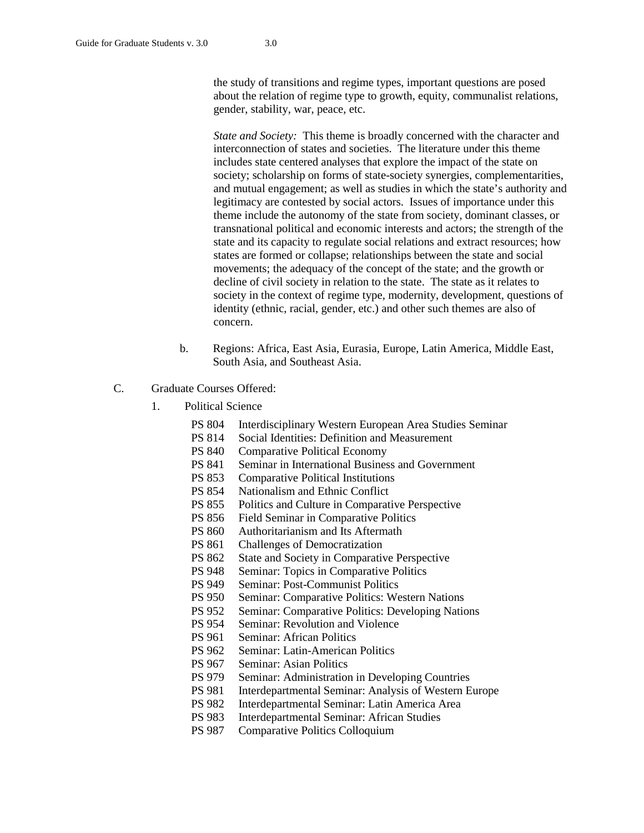the study of transitions and regime types, important questions are posed about the relation of regime type to growth, equity, communalist relations, gender, stability, war, peace, etc.

*State and Society:*This theme is broadly concerned with the character and interconnection of states and societies. The literature under this theme includes state centered analyses that explore the impact of the state on society; scholarship on forms of state-society synergies, complementarities, and mutual engagement; as well as studies in which the state's authority and legitimacy are contested by social actors. Issues of importance under this theme include the autonomy of the state from society, dominant classes, or transnational political and economic interests and actors; the strength of the state and its capacity to regulate social relations and extract resources; how states are formed or collapse; relationships between the state and social movements; the adequacy of the concept of the state; and the growth or decline of civil society in relation to the state. The state as it relates to society in the context of regime type, modernity, development, questions of identity (ethnic, racial, gender, etc.) and other such themes are also of concern.

- b. Regions: Africa, East Asia, Eurasia, Europe, Latin America, Middle East, South Asia, and Southeast Asia.
- C. Graduate Courses Offered:
	- 1. Political Science
		- PS 804 Interdisciplinary Western European Area Studies Seminar
		- PS 814 Social Identities: Definition and Measurement
		- PS 840 Comparative Political Economy
		- PS 841 Seminar in International Business and Government
		- PS 853 Comparative Political Institutions
		- PS 854 Nationalism and Ethnic Conflict
		- PS 855 Politics and Culture in Comparative Perspective
		- PS 856 Field Seminar in Comparative Politics
		- PS 860 Authoritarianism and Its Aftermath
		- PS 861 Challenges of Democratization
		- PS 862 State and Society in Comparative Perspective
		- PS 948 Seminar: Topics in Comparative Politics
		- PS 949 Seminar: Post-Communist Politics
		- PS 950 Seminar: Comparative Politics: Western Nations
		- PS 952 Seminar: Comparative Politics: Developing Nations
		- PS 954 Seminar: Revolution and Violence
		- PS 961 Seminar: African Politics
		- PS 962 Seminar: Latin-American Politics
		- PS 967 Seminar: Asian Politics
		- PS 979 Seminar: Administration in Developing Countries<br>PS 981 Interdepartmental Seminar: Analysis of Western E
		- Interdepartmental Seminar: Analysis of Western Europe
		- PS 982 Interdepartmental Seminar: Latin America Area
		- PS 983 Interdepartmental Seminar: African Studies
		- PS 987 Comparative Politics Colloquium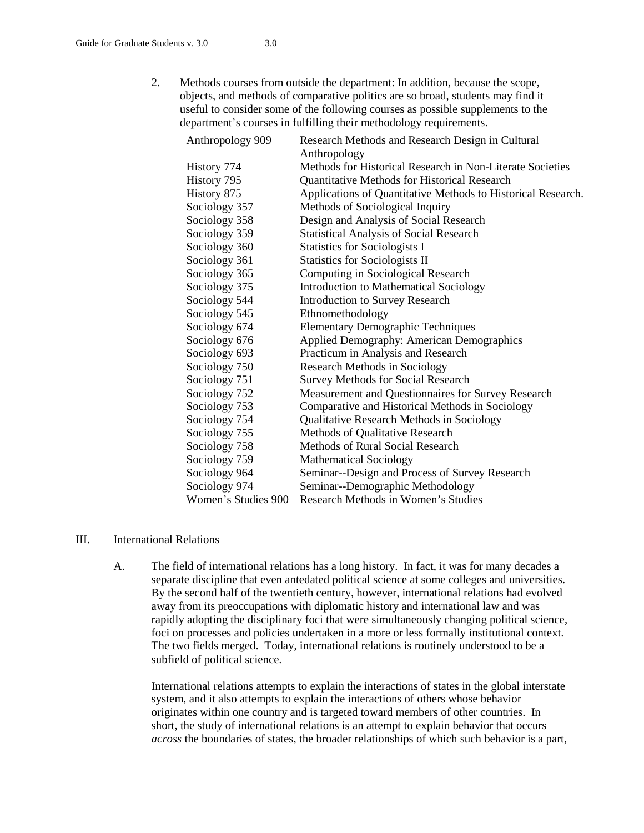2. Methods courses from outside the department: In addition, because the scope, objects, and methods of comparative politics are so broad, students may find it useful to consider some of the following courses as possible supplements to the department's courses in fulfilling their methodology requirements.

| Anthropology 909    | Research Methods and Research Design in Cultural<br>Anthropology |
|---------------------|------------------------------------------------------------------|
| History 774         | Methods for Historical Research in Non-Literate Societies        |
| History 795         | <b>Quantitative Methods for Historical Research</b>              |
| History 875         | Applications of Quantitative Methods to Historical Research.     |
| Sociology 357       | Methods of Sociological Inquiry                                  |
| Sociology 358       | Design and Analysis of Social Research                           |
| Sociology 359       | <b>Statistical Analysis of Social Research</b>                   |
| Sociology 360       | <b>Statistics for Sociologists I</b>                             |
| Sociology 361       | Statistics for Sociologists II                                   |
| Sociology 365       | Computing in Sociological Research                               |
| Sociology 375       | <b>Introduction to Mathematical Sociology</b>                    |
| Sociology 544       | <b>Introduction to Survey Research</b>                           |
| Sociology 545       | Ethnomethodology                                                 |
| Sociology 674       | <b>Elementary Demographic Techniques</b>                         |
| Sociology 676       | <b>Applied Demography: American Demographics</b>                 |
| Sociology 693       | Practicum in Analysis and Research                               |
| Sociology 750       | <b>Research Methods in Sociology</b>                             |
| Sociology 751       | <b>Survey Methods for Social Research</b>                        |
| Sociology 752       | Measurement and Questionnaires for Survey Research               |
| Sociology 753       | Comparative and Historical Methods in Sociology                  |
| Sociology 754       | Qualitative Research Methods in Sociology                        |
| Sociology 755       | Methods of Qualitative Research                                  |
| Sociology 758       | Methods of Rural Social Research                                 |
| Sociology 759       | <b>Mathematical Sociology</b>                                    |
| Sociology 964       | Seminar--Design and Process of Survey Research                   |
| Sociology 974       | Seminar--Demographic Methodology                                 |
| Women's Studies 900 | Research Methods in Women's Studies                              |

### III. International Relations

A. The field of international relations has a long history. In fact, it was for many decades a separate discipline that even antedated political science at some colleges and universities. By the second half of the twentieth century, however, international relations had evolved away from its preoccupations with diplomatic history and international law and was rapidly adopting the disciplinary foci that were simultaneously changing political science, foci on processes and policies undertaken in a more or less formally institutional context. The two fields merged. Today, international relations is routinely understood to be a subfield of political science.

International relations attempts to explain the interactions of states in the global interstate system, and it also attempts to explain the interactions of others whose behavior originates within one country and is targeted toward members of other countries. In short, the study of international relations is an attempt to explain behavior that occurs *across* the boundaries of states, the broader relationships of which such behavior is a part,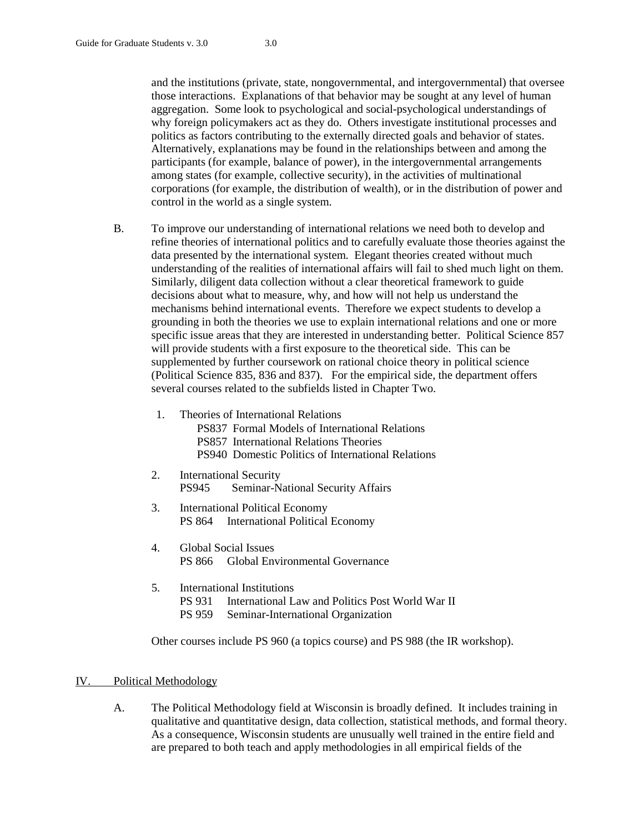and the institutions (private, state, nongovernmental, and intergovernmental) that oversee those interactions. Explanations of that behavior may be sought at any level of human aggregation. Some look to psychological and social-psychological understandings of why foreign policymakers act as they do. Others investigate institutional processes and politics as factors contributing to the externally directed goals and behavior of states. Alternatively, explanations may be found in the relationships between and among the participants (for example, balance of power), in the intergovernmental arrangements among states (for example, collective security), in the activities of multinational corporations (for example, the distribution of wealth), or in the distribution of power and control in the world as a single system.

- B. To improve our understanding of international relations we need both to develop and refine theories of international politics and to carefully evaluate those theories against the data presented by the international system. Elegant theories created without much understanding of the realities of international affairs will fail to shed much light on them. Similarly, diligent data collection without a clear theoretical framework to guide decisions about what to measure, why, and how will not help us understand the mechanisms behind international events. Therefore we expect students to develop a grounding in both the theories we use to explain international relations and one or more specific issue areas that they are interested in understanding better. Political Science 857 will provide students with a first exposure to the theoretical side. This can be supplemented by further coursework on rational choice theory in political science (Political Science 835, 836 and 837). For the empirical side, the department offers several courses related to the subfields listed in Chapter Two.
	- 1. Theories of International Relations
		- PS837 Formal Models of International Relations
		- PS857 International Relations Theories
		- PS940 Domestic Politics of International Relations
	- 2. International Security PS945 Seminar-National Security Affairs
	- 3. International Political Economy PS 864 International Political Economy
	- 4. Global Social Issues PS 866 Global Environmental Governance
	- 5. International Institutions PS 931 International Law and Politics Post World War II PS 959 Seminar-International Organization

Other courses include PS 960 (a topics course) and PS 988 (the IR workshop).

### IV. Political Methodology

A. The Political Methodology field at Wisconsin is broadly defined. It includes training in qualitative and quantitative design, data collection, statistical methods, and formal theory. As a consequence, Wisconsin students are unusually well trained in the entire field and are prepared to both teach and apply methodologies in all empirical fields of the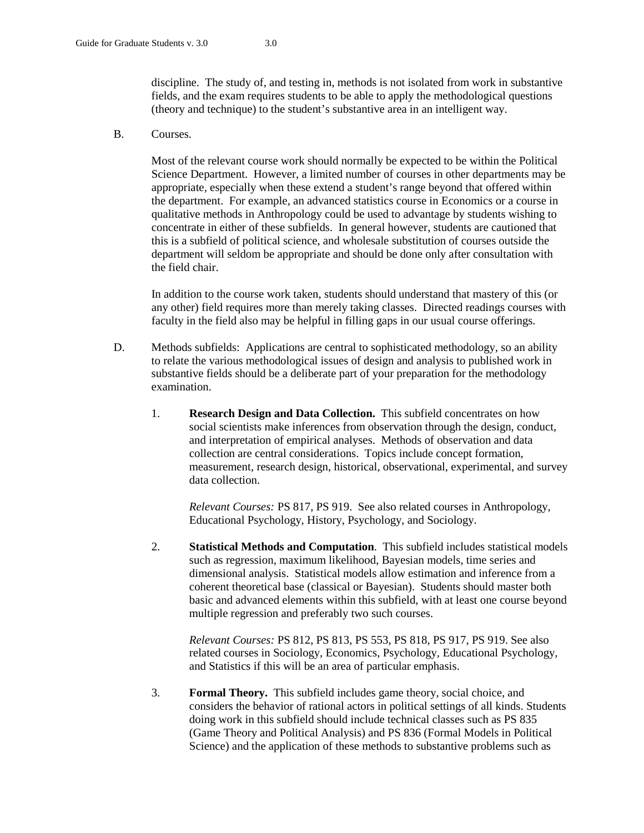discipline. The study of, and testing in, methods is not isolated from work in substantive fields, and the exam requires students to be able to apply the methodological questions (theory and technique) to the student's substantive area in an intelligent way.

B. Courses.

Most of the relevant course work should normally be expected to be within the Political Science Department. However, a limited number of courses in other departments may be appropriate, especially when these extend a student's range beyond that offered within the department. For example, an advanced statistics course in Economics or a course in qualitative methods in Anthropology could be used to advantage by students wishing to concentrate in either of these subfields. In general however, students are cautioned that this is a subfield of political science, and wholesale substitution of courses outside the department will seldom be appropriate and should be done only after consultation with the field chair.

In addition to the course work taken, students should understand that mastery of this (or any other) field requires more than merely taking classes. Directed readings courses with faculty in the field also may be helpful in filling gaps in our usual course offerings.

- D. Methods subfields:Applications are central to sophisticated methodology, so an ability to relate the various methodological issues of design and analysis to published work in substantive fields should be a deliberate part of your preparation for the methodology examination.
	- 1. **Research Design and Data Collection.** This subfield concentrates on how social scientists make inferences from observation through the design, conduct, and interpretation of empirical analyses. Methods of observation and data collection are central considerations. Topics include concept formation, measurement, research design, historical, observational, experimental, and survey data collection.

*Relevant Courses:* PS 817, PS 919. See also related courses in Anthropology, Educational Psychology, History, Psychology, and Sociology.

2. **Statistical Methods and Computation**. This subfield includes statistical models such as regression, maximum likelihood, Bayesian models, time series and dimensional analysis. Statistical models allow estimation and inference from a coherent theoretical base (classical or Bayesian). Students should master both basic and advanced elements within this subfield, with at least one course beyond multiple regression and preferably two such courses.

*Relevant Courses:* PS 812, PS 813, PS 553, PS 818, PS 917, PS 919. See also related courses in Sociology, Economics, Psychology, Educational Psychology, and Statistics if this will be an area of particular emphasis.

3. **Formal Theory.** This subfield includes game theory, social choice, and considers the behavior of rational actors in political settings of all kinds. Students doing work in this subfield should include technical classes such as PS 835 (Game Theory and Political Analysis) and PS 836 (Formal Models in Political Science) and the application of these methods to substantive problems such as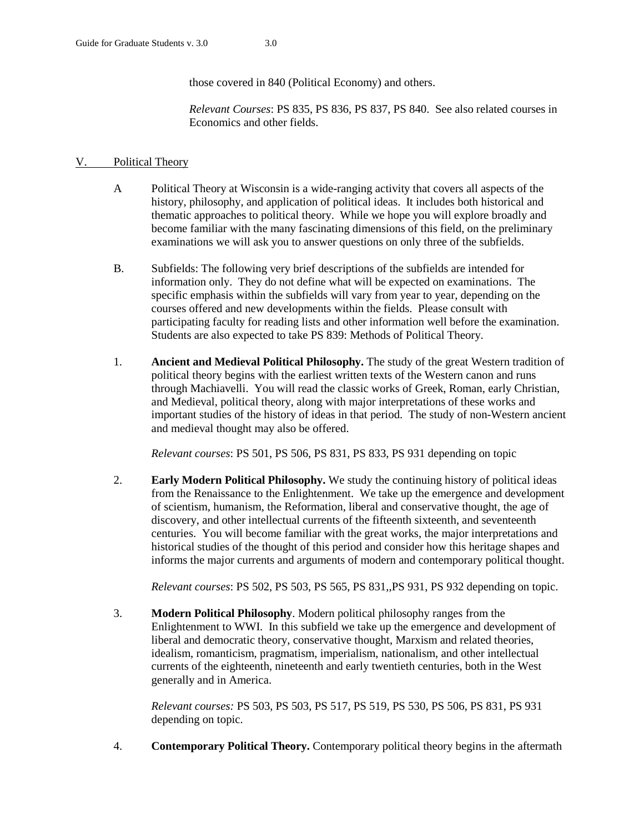those covered in 840 (Political Economy) and others.

*Relevant Courses*: PS 835, PS 836, PS 837, PS 840. See also related courses in Economics and other fields.

## V. Political Theory

- A Political Theory at Wisconsin is a wide-ranging activity that covers all aspects of the history, philosophy, and application of political ideas. It includes both historical and thematic approaches to political theory. While we hope you will explore broadly and become familiar with the many fascinating dimensions of this field, on the preliminary examinations we will ask you to answer questions on only three of the subfields.
- B. Subfields: The following very brief descriptions of the subfields are intended for information only. They do not define what will be expected on examinations. The specific emphasis within the subfields will vary from year to year, depending on the courses offered and new developments within the fields. Please consult with participating faculty for reading lists and other information well before the examination. Students are also expected to take PS 839: Methods of Political Theory.
- 1. **Ancient and Medieval Political Philosophy.** The study of the great Western tradition of political theory begins with the earliest written texts of the Western canon and runs through Machiavelli. You will read the classic works of Greek, Roman, early Christian, and Medieval, political theory, along with major interpretations of these works and important studies of the history of ideas in that period. The study of non-Western ancient and medieval thought may also be offered.

*Relevant courses*: PS 501, PS 506, PS 831, PS 833, PS 931 depending on topic

2. **Early Modern Political Philosophy.** We study the continuing history of political ideas from the Renaissance to the Enlightenment. We take up the emergence and development of scientism, humanism, the Reformation, liberal and conservative thought, the age of discovery, and other intellectual currents of the fifteenth sixteenth, and seventeenth centuries. You will become familiar with the great works, the major interpretations and historical studies of the thought of this period and consider how this heritage shapes and informs the major currents and arguments of modern and contemporary political thought.

*Relevant courses*: PS 502, PS 503, PS 565, PS 831,,PS 931, PS 932 depending on topic.

3. **Modern Political Philosophy**. Modern political philosophy ranges from the Enlightenment to WWI. In this subfield we take up the emergence and development of liberal and democratic theory, conservative thought, Marxism and related theories, idealism, romanticism, pragmatism, imperialism, nationalism, and other intellectual currents of the eighteenth, nineteenth and early twentieth centuries, both in the West generally and in America.

*Relevant courses:* PS 503, PS 503, PS 517, PS 519, PS 530, PS 506, PS 831, PS 931 depending on topic.

4. **Contemporary Political Theory.** Contemporary political theory begins in the aftermath